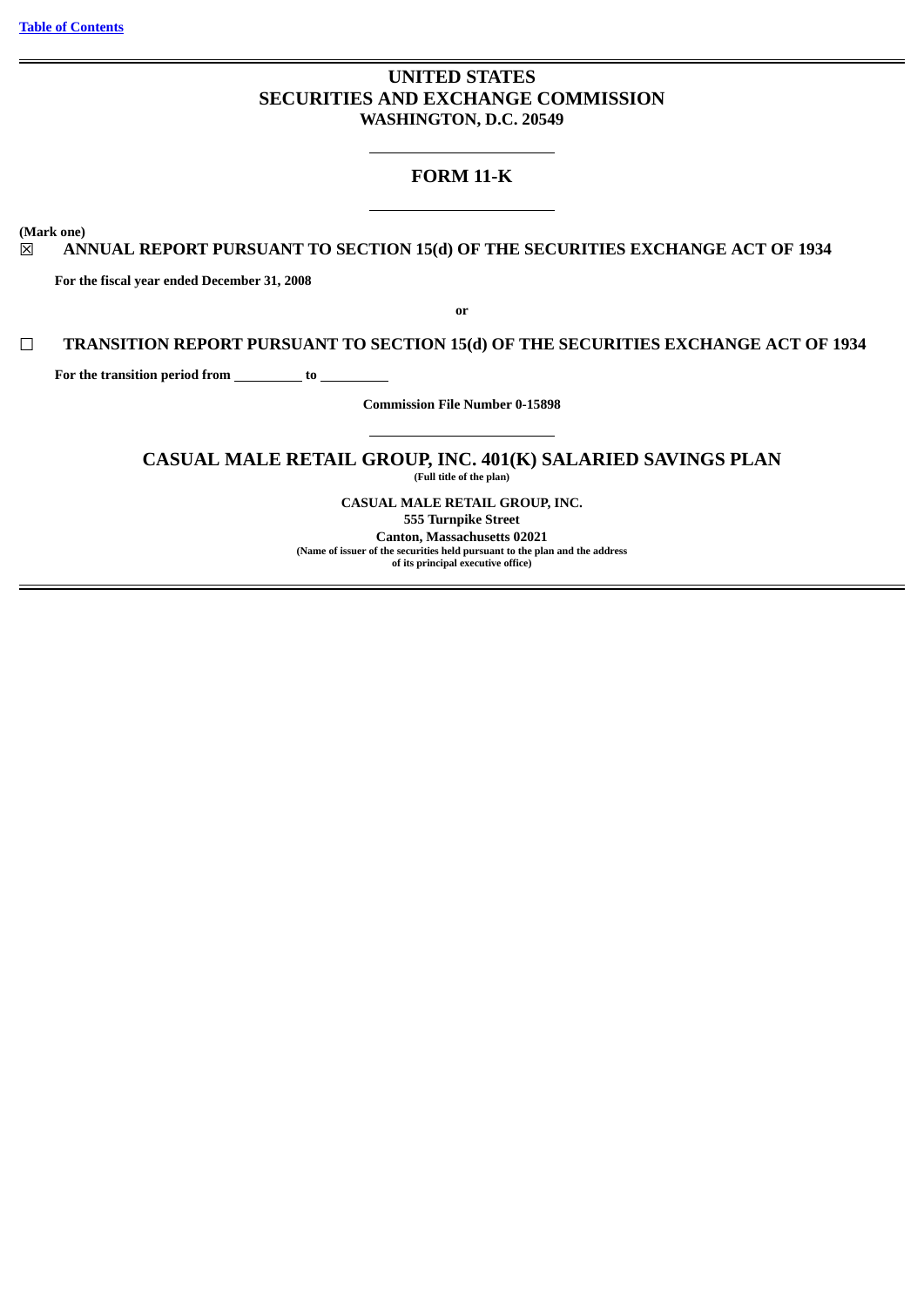# **UNITED STATES SECURITIES AND EXCHANGE COMMISSION WASHINGTON, D.C. 20549**

# **FORM 11-K**

**(Mark one)**

# ☒ **ANNUAL REPORT PURSUANT TO SECTION 15(d) OF THE SECURITIES EXCHANGE ACT OF 1934**

**For the fiscal year ended December 31, 2008**

**or**

## ☐ **TRANSITION REPORT PURSUANT TO SECTION 15(d) OF THE SECURITIES EXCHANGE ACT OF 1934**

For the transition period from \_\_\_\_\_\_\_\_\_\_ to \_

**Commission File Number 0-15898**

# **CASUAL MALE RETAIL GROUP, INC. 401(K) SALARIED SAVINGS PLAN**

**(Full title of the plan)**

**CASUAL MALE RETAIL GROUP, INC.**

**555 Turnpike Street Canton, Massachusetts 02021 (Name of issuer of the securities held pursuant to the plan and the address of its principal executive office)**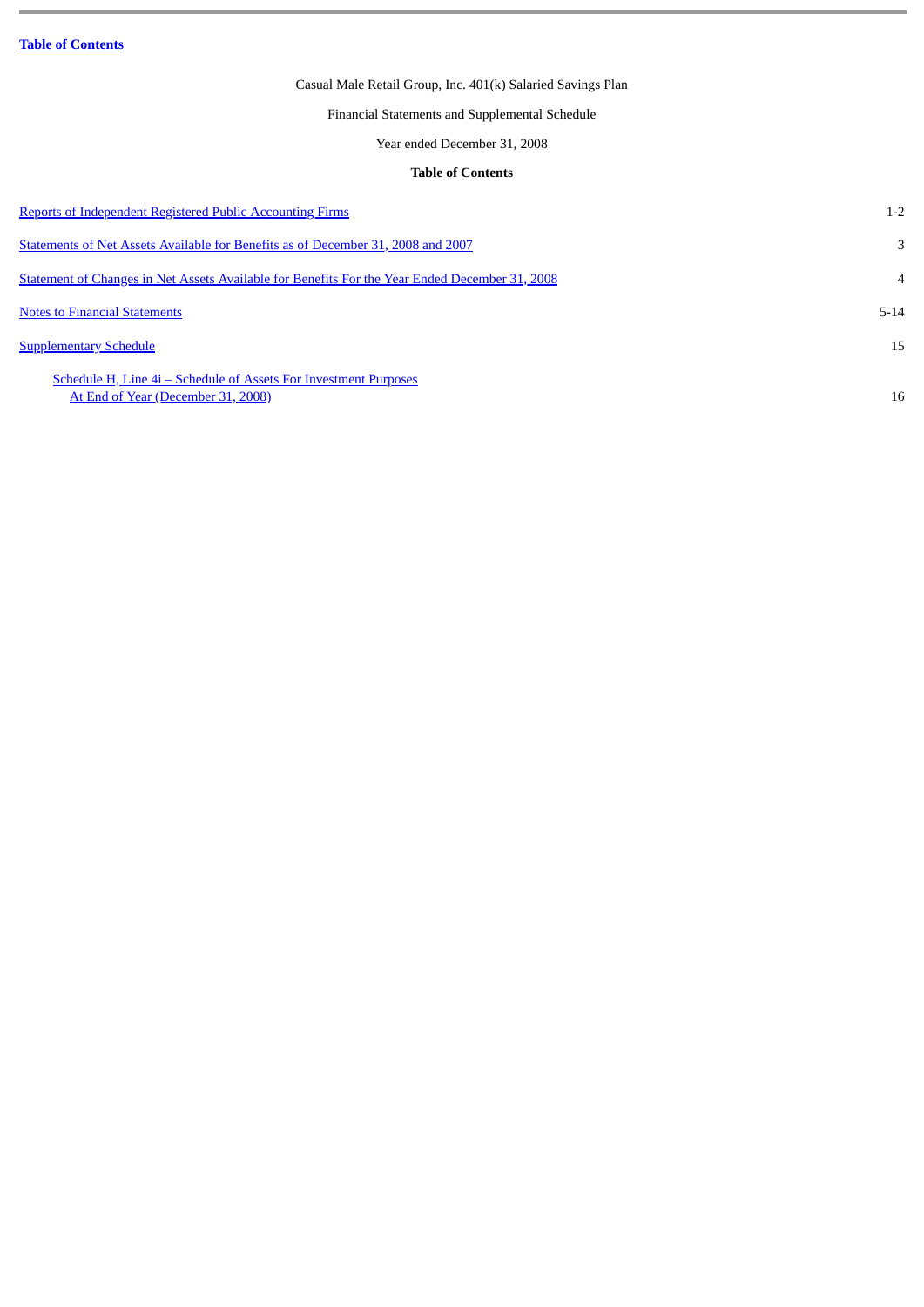Financial Statements and Supplemental Schedule

Year ended December 31, 2008

## **Table of Contents**

<span id="page-1-0"></span>

| <b>Reports of Independent Registered Public Accounting Firms</b>                                       | $1 - 2$        |
|--------------------------------------------------------------------------------------------------------|----------------|
| Statements of Net Assets Available for Benefits as of December 31, 2008 and 2007                       | 3              |
| Statement of Changes in Net Assets Available for Benefits For the Year Ended December 31, 2008         | $\overline{4}$ |
| <b>Notes to Financial Statements</b>                                                                   | $5 - 14$       |
| <b>Supplementary Schedule</b>                                                                          | 15             |
| Schedule H, Line 4i – Schedule of Assets For Investment Purposes<br>At End of Year (December 31, 2008) | 16             |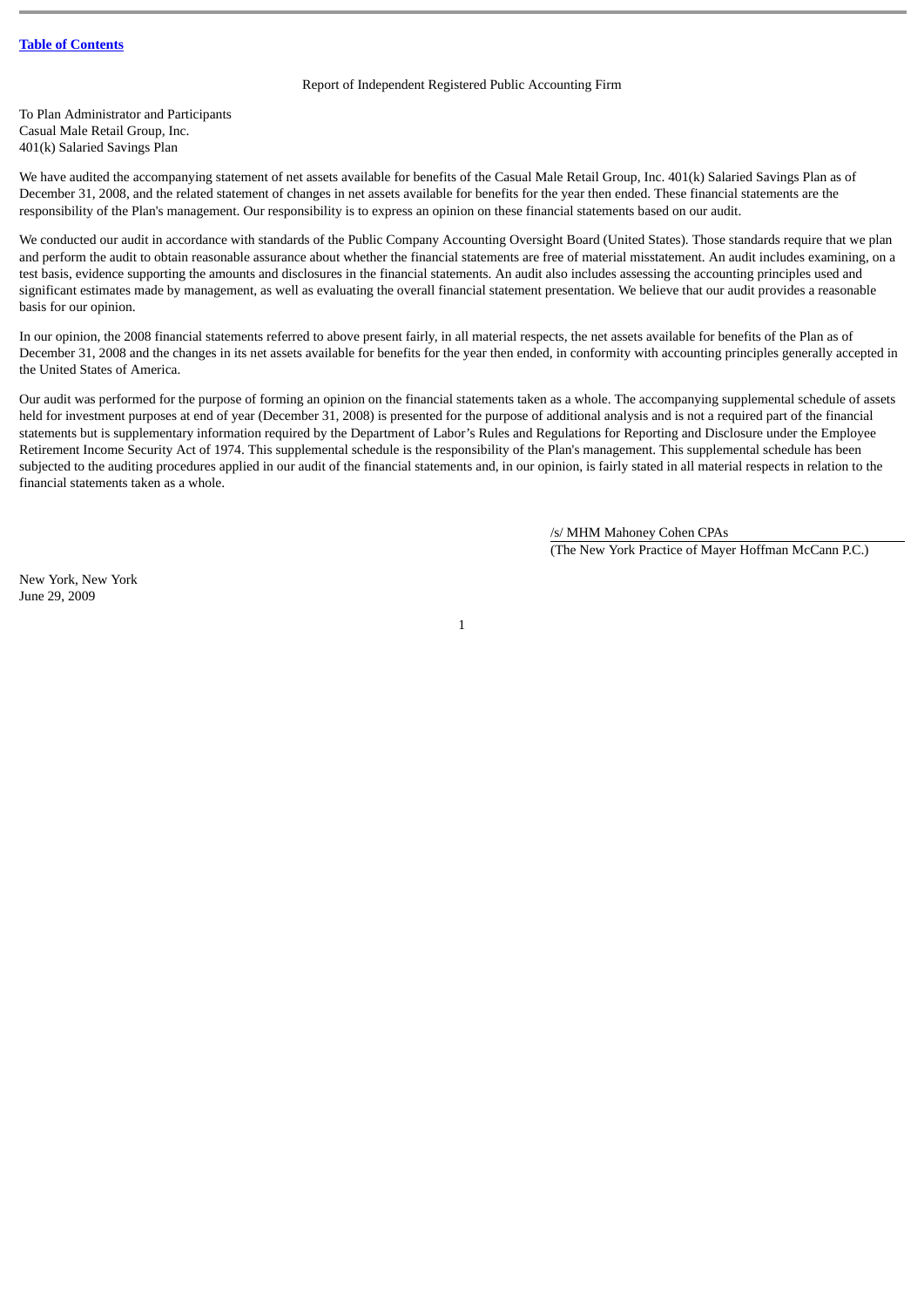## Report of Independent Registered Public Accounting Firm

<span id="page-2-0"></span>To Plan Administrator and Participants Casual Male Retail Group, Inc. 401(k) Salaried Savings Plan

We have audited the accompanying statement of net assets available for benefits of the Casual Male Retail Group, Inc. 401(k) Salaried Savings Plan as of December 31, 2008, and the related statement of changes in net assets available for benefits for the year then ended. These financial statements are the responsibility of the Plan's management. Our responsibility is to express an opinion on these financial statements based on our audit.

We conducted our audit in accordance with standards of the Public Company Accounting Oversight Board (United States). Those standards require that we plan and perform the audit to obtain reasonable assurance about whether the financial statements are free of material misstatement. An audit includes examining, on a test basis, evidence supporting the amounts and disclosures in the financial statements. An audit also includes assessing the accounting principles used and significant estimates made by management, as well as evaluating the overall financial statement presentation. We believe that our audit provides a reasonable basis for our opinion.

In our opinion, the 2008 financial statements referred to above present fairly, in all material respects, the net assets available for benefits of the Plan as of December 31, 2008 and the changes in its net assets available for benefits for the year then ended, in conformity with accounting principles generally accepted in the United States of America.

Our audit was performed for the purpose of forming an opinion on the financial statements taken as a whole. The accompanying supplemental schedule of assets held for investment purposes at end of year (December 31, 2008) is presented for the purpose of additional analysis and is not a required part of the financial statements but is supplementary information required by the Department of Labor's Rules and Regulations for Reporting and Disclosure under the Employee Retirement Income Security Act of 1974. This supplemental schedule is the responsibility of the Plan's management. This supplemental schedule has been subjected to the auditing procedures applied in our audit of the financial statements and, in our opinion, is fairly stated in all material respects in relation to the financial statements taken as a whole.

1

/s/ MHM Mahoney Cohen CPAs (The New York Practice of Mayer Hoffman McCann P.C.)

New York, New York June 29, 2009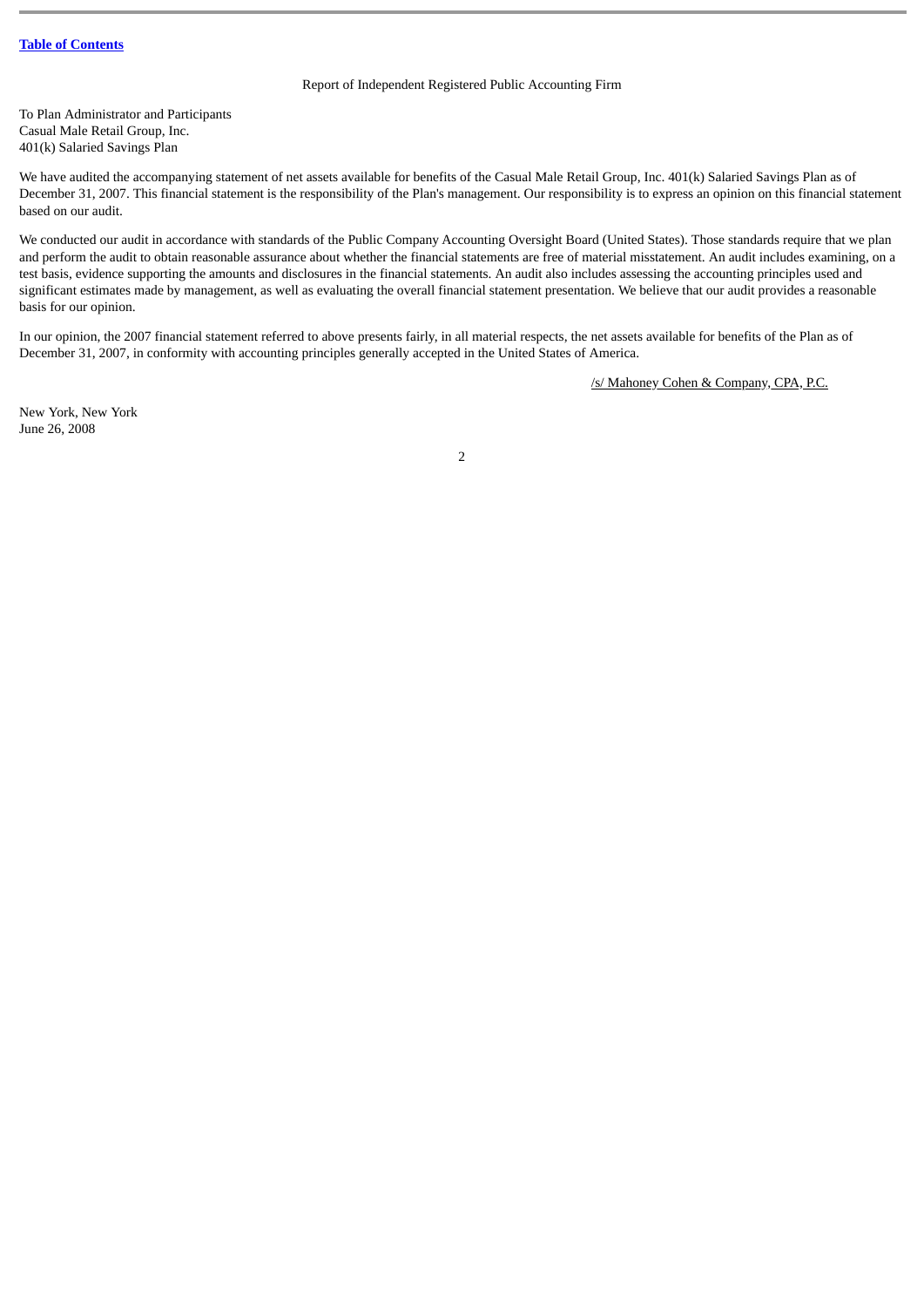## Report of Independent Registered Public Accounting Firm

To Plan Administrator and Participants Casual Male Retail Group, Inc. 401(k) Salaried Savings Plan

We have audited the accompanying statement of net assets available for benefits of the Casual Male Retail Group, Inc. 401(k) Salaried Savings Plan as of December 31, 2007. This financial statement is the responsibility of the Plan's management. Our responsibility is to express an opinion on this financial statement based on our audit.

We conducted our audit in accordance with standards of the Public Company Accounting Oversight Board (United States). Those standards require that we plan and perform the audit to obtain reasonable assurance about whether the financial statements are free of material misstatement. An audit includes examining, on a test basis, evidence supporting the amounts and disclosures in the financial statements. An audit also includes assessing the accounting principles used and significant estimates made by management, as well as evaluating the overall financial statement presentation. We believe that our audit provides a reasonable basis for our opinion.

In our opinion, the 2007 financial statement referred to above presents fairly, in all material respects, the net assets available for benefits of the Plan as of December 31, 2007, in conformity with accounting principles generally accepted in the United States of America.

/s/ Mahoney Cohen & Company, CPA, P.C.

New York, New York June 26, 2008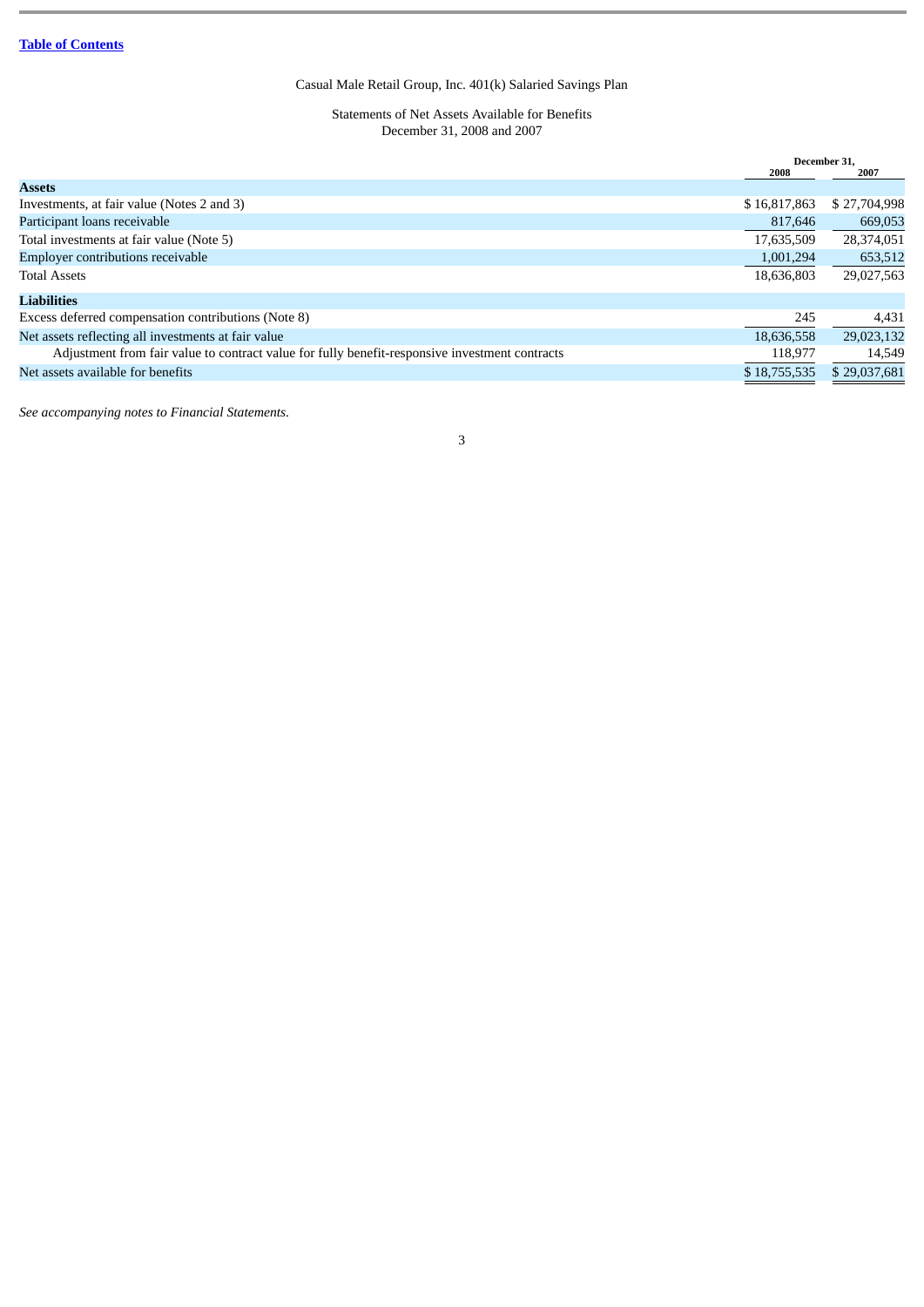Statements of Net Assets Available for Benefits December 31, 2008 and 2007

<span id="page-4-0"></span>

|                                                                                                |              | December 31. |  |
|------------------------------------------------------------------------------------------------|--------------|--------------|--|
|                                                                                                | 2008         | 2007         |  |
| <b>Assets</b>                                                                                  |              |              |  |
| Investments, at fair value (Notes 2 and 3)                                                     | \$16,817,863 | \$27,704,998 |  |
| Participant loans receivable                                                                   | 817,646      | 669,053      |  |
| Total investments at fair value (Note 5)                                                       | 17,635,509   | 28,374,051   |  |
| Employer contributions receivable                                                              | 1,001,294    | 653,512      |  |
| <b>Total Assets</b>                                                                            | 18,636,803   | 29,027,563   |  |
| <b>Liabilities</b>                                                                             |              |              |  |
| Excess deferred compensation contributions (Note 8)                                            | 245          | 4,431        |  |
| Net assets reflecting all investments at fair value                                            | 18,636,558   | 29,023,132   |  |
| Adjustment from fair value to contract value for fully benefit-responsive investment contracts | 118.977      | 14,549       |  |
| Net assets available for benefits                                                              | \$18,755,535 | \$29,037,681 |  |
|                                                                                                |              |              |  |

*See accompanying notes to Financial Statements.*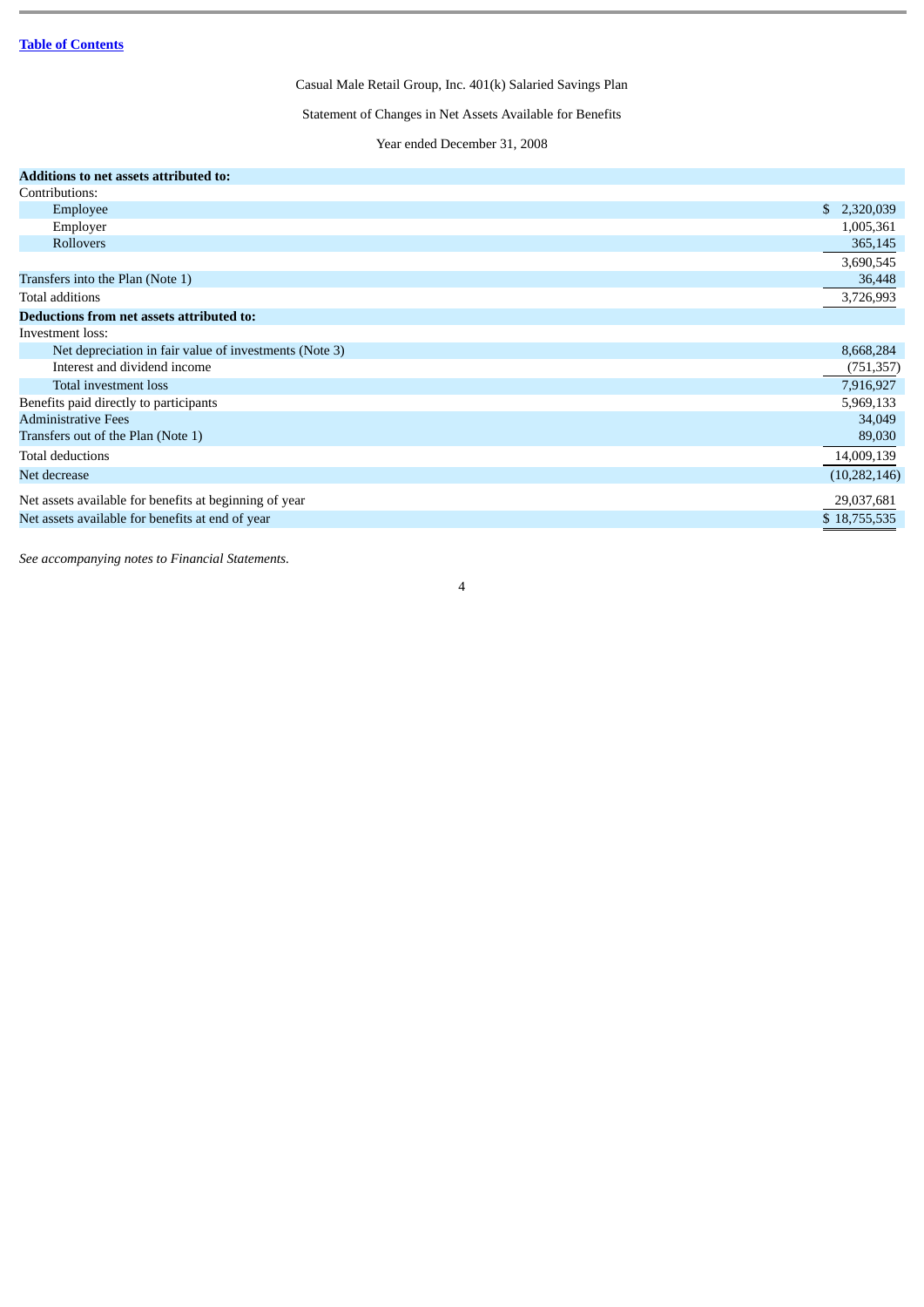Statement of Changes in Net Assets Available for Benefits

Year ended December 31, 2008

<span id="page-5-0"></span>

| Additions to net assets attributed to:                 |                |
|--------------------------------------------------------|----------------|
| Contributions:                                         |                |
| Employee                                               | \$2,320,039    |
| Employer                                               | 1,005,361      |
| Rollovers                                              | 365,145        |
|                                                        | 3,690,545      |
| Transfers into the Plan (Note 1)                       | 36,448         |
| Total additions                                        | 3,726,993      |
| Deductions from net assets attributed to:              |                |
| Investment loss:                                       |                |
| Net depreciation in fair value of investments (Note 3) | 8,668,284      |
| Interest and dividend income                           | (751, 357)     |
| Total investment loss                                  | 7,916,927      |
| Benefits paid directly to participants                 | 5,969,133      |
| <b>Administrative Fees</b>                             | 34,049         |
| Transfers out of the Plan (Note 1)                     | 89,030         |
| <b>Total deductions</b>                                | 14,009,139     |
| Net decrease                                           | (10, 282, 146) |
| Net assets available for benefits at beginning of year | 29,037,681     |
| Net assets available for benefits at end of year       | \$18,755,535   |

4

*See accompanying notes to Financial Statements.*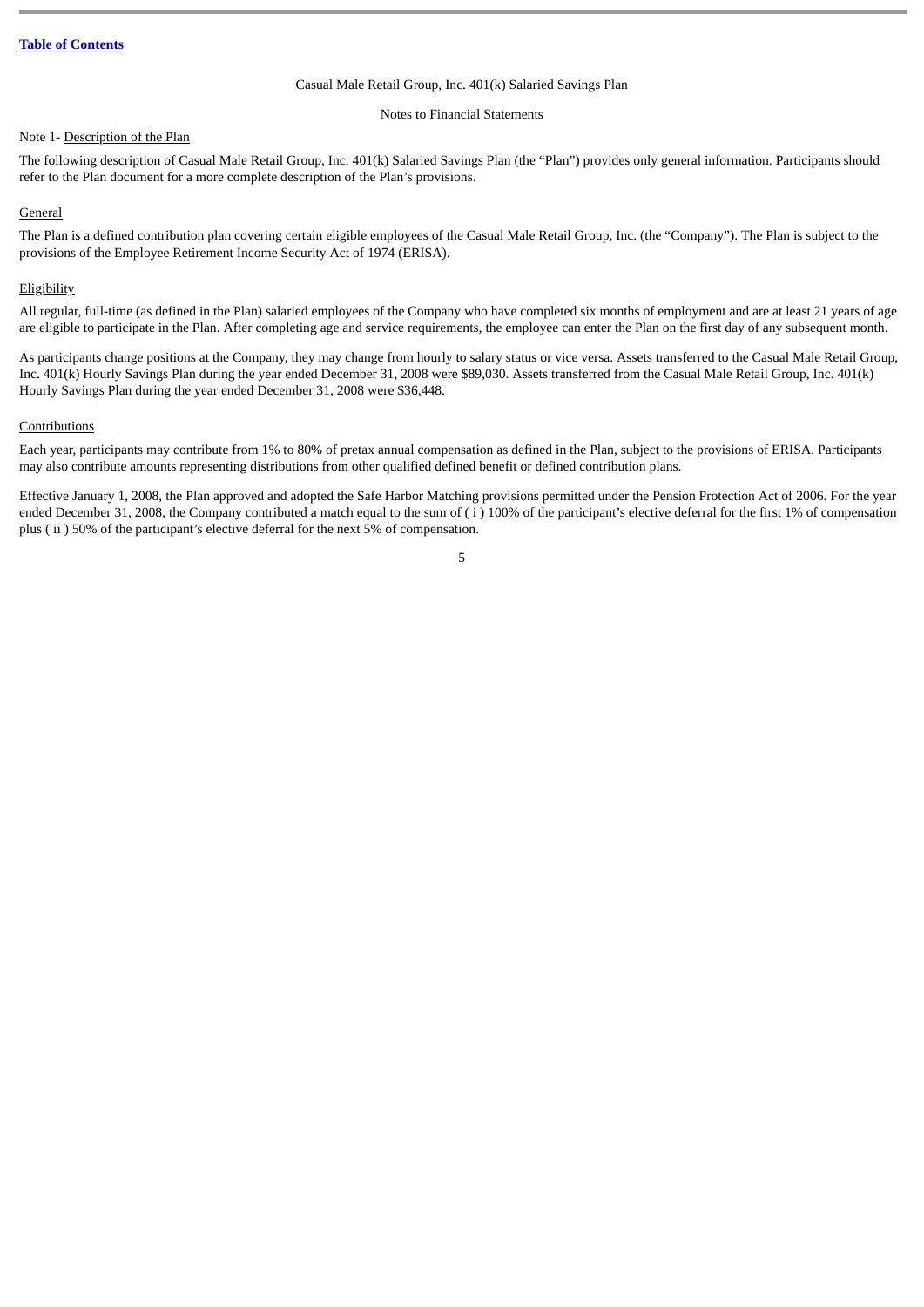#### Notes to Financial Statements

### <span id="page-6-0"></span>Note 1- Description of the Plan

The following description of Casual Male Retail Group, Inc. 401(k) Salaried Savings Plan (the "Plan") provides only general information. Participants should refer to the Plan document for a more complete description of the Plan's provisions.

#### **General**

The Plan is a defined contribution plan covering certain eligible employees of the Casual Male Retail Group, Inc. (the "Company"). The Plan is subject to the provisions of the Employee Retirement Income Security Act of 1974 (ERISA).

#### **Eligibility**

All regular, full-time (as defined in the Plan) salaried employees of the Company who have completed six months of employment and are at least 21 years of age are eligible to participate in the Plan. After completing age and service requirements, the employee can enter the Plan on the first day of any subsequent month.

As participants change positions at the Company, they may change from hourly to salary status or vice versa. Assets transferred to the Casual Male Retail Group, Inc. 401(k) Hourly Savings Plan during the year ended December 31, 2008 were \$89,030. Assets transferred from the Casual Male Retail Group, Inc. 401(k) Hourly Savings Plan during the year ended December 31, 2008 were \$36,448.

#### Contributions

Each year, participants may contribute from 1% to 80% of pretax annual compensation as defined in the Plan, subject to the provisions of ERISA. Participants may also contribute amounts representing distributions from other qualified defined benefit or defined contribution plans.

Effective January 1, 2008, the Plan approved and adopted the Safe Harbor Matching provisions permitted under the Pension Protection Act of 2006. For the year ended December 31, 2008, the Company contributed a match equal to the sum of  $(i)$  100% of the participant's elective deferral for the first 1% of compensation plus ( ii ) 50% of the participant's elective deferral for the next 5% of compensation.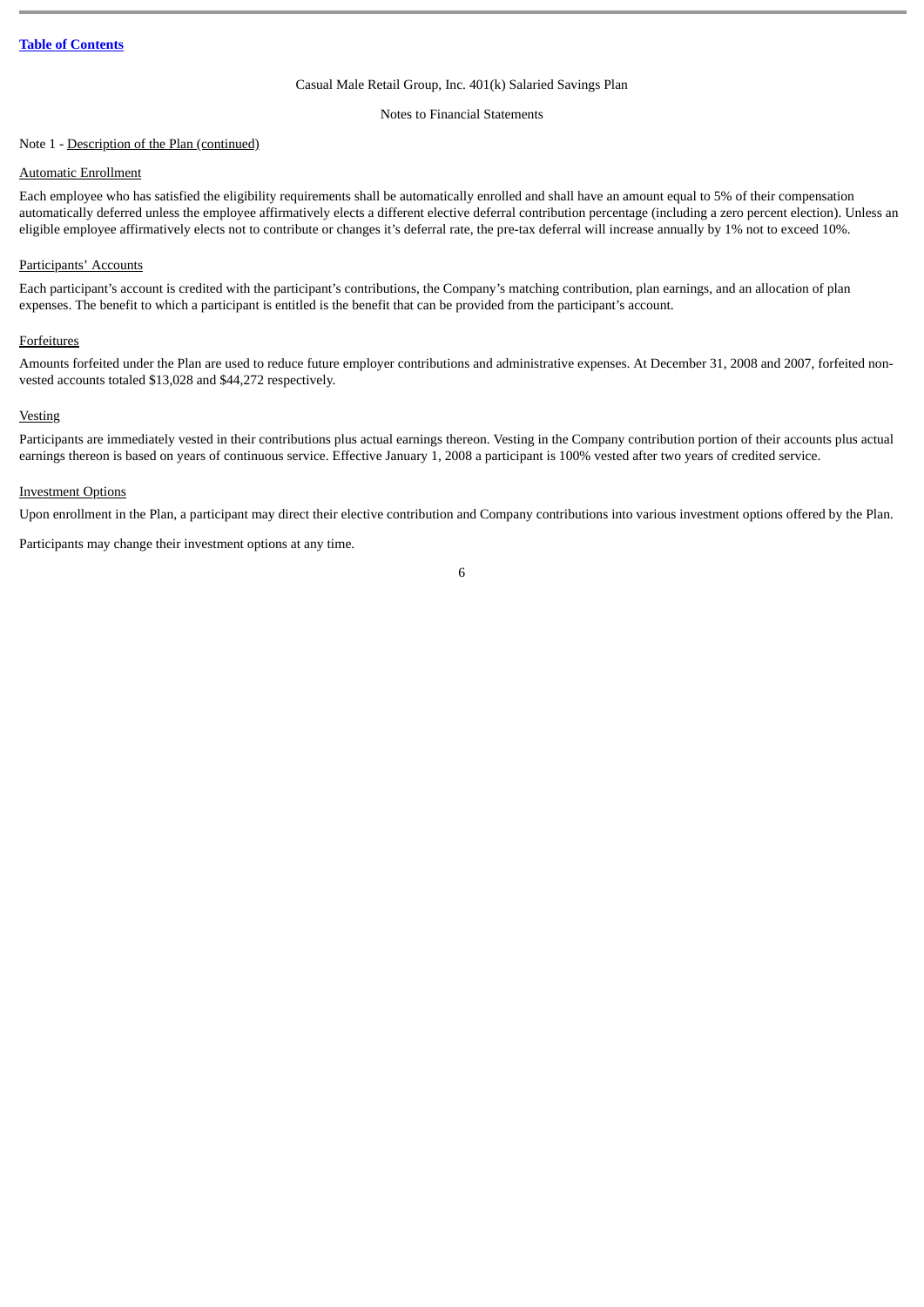Notes to Financial Statements

## Note 1 - Description of the Plan (continued)

#### Automatic Enrollment

Each employee who has satisfied the eligibility requirements shall be automatically enrolled and shall have an amount equal to 5% of their compensation automatically deferred unless the employee affirmatively elects a different elective deferral contribution percentage (including a zero percent election). Unless an eligible employee affirmatively elects not to contribute or changes it's deferral rate, the pre-tax deferral will increase annually by 1% not to exceed 10%.

## Participants' Accounts

Each participant's account is credited with the participant's contributions, the Company's matching contribution, plan earnings, and an allocation of plan expenses. The benefit to which a participant is entitled is the benefit that can be provided from the participant's account.

#### **Forfeitures**

Amounts forfeited under the Plan are used to reduce future employer contributions and administrative expenses. At December 31, 2008 and 2007, forfeited nonvested accounts totaled \$13,028 and \$44,272 respectively.

## **Vesting**

Participants are immediately vested in their contributions plus actual earnings thereon. Vesting in the Company contribution portion of their accounts plus actual earnings thereon is based on years of continuous service. Effective January 1, 2008 a participant is 100% vested after two years of credited service.

#### Investment Options

Upon enrollment in the Plan, a participant may direct their elective contribution and Company contributions into various investment options offered by the Plan.

Participants may change their investment options at any time.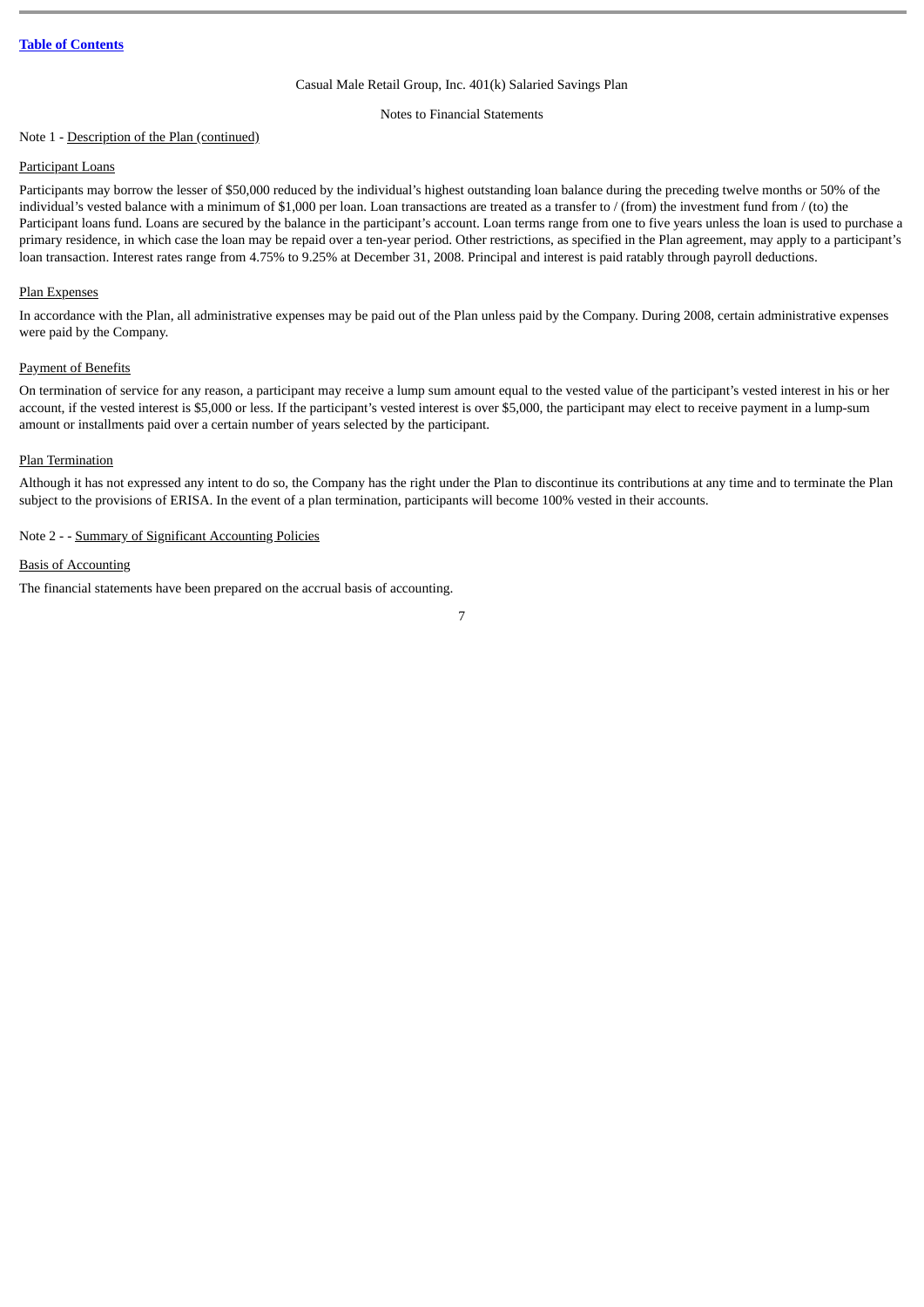Notes to Financial Statements

#### Note 1 - Description of the Plan (continued)

## Participant Loans

Participants may borrow the lesser of \$50,000 reduced by the individual's highest outstanding loan balance during the preceding twelve months or 50% of the individual's vested balance with a minimum of \$1,000 per loan. Loan transactions are treated as a transfer to  $/$  (from) the investment fund from  $/$  (to) the Participant loans fund. Loans are secured by the balance in the participant's account. Loan terms range from one to five years unless the loan is used to purchase a primary residence, in which case the loan may be repaid over a ten-year period. Other restrictions, as specified in the Plan agreement, may apply to a participant's loan transaction. Interest rates range from 4.75% to 9.25% at December 31, 2008. Principal and interest is paid ratably through payroll deductions.

## Plan Expenses

In accordance with the Plan, all administrative expenses may be paid out of the Plan unless paid by the Company. During 2008, certain administrative expenses were paid by the Company.

#### Payment of Benefits

On termination of service for any reason, a participant may receive a lump sum amount equal to the vested value of the participant's vested interest in his or her account, if the vested interest is \$5,000 or less. If the participant's vested interest is over \$5,000, the participant may elect to receive payment in a lump-sum amount or installments paid over a certain number of years selected by the participant.

#### Plan Termination

Although it has not expressed any intent to do so, the Company has the right under the Plan to discontinue its contributions at any time and to terminate the Plan subject to the provisions of ERISA. In the event of a plan termination, participants will become 100% vested in their accounts.

## Note 2 - - Summary of Significant Accounting Policies

## Basis of Accounting

The financial statements have been prepared on the accrual basis of accounting.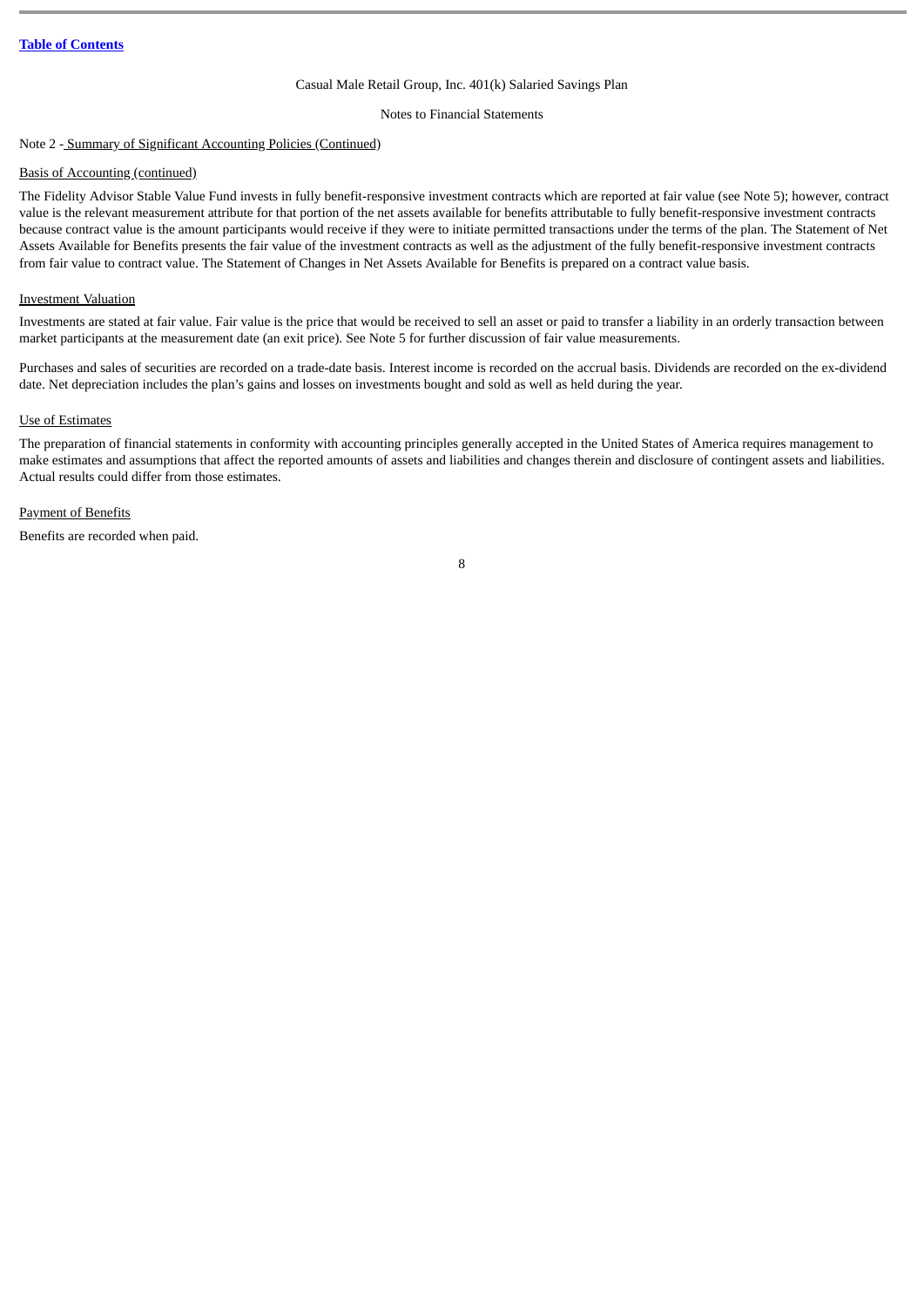Notes to Financial Statements

## Note 2 - Summary of Significant Accounting Policies (Continued)

#### Basis of Accounting (continued)

The Fidelity Advisor Stable Value Fund invests in fully benefit-responsive investment contracts which are reported at fair value (see Note 5); however, contract value is the relevant measurement attribute for that portion of the net assets available for benefits attributable to fully benefit-responsive investment contracts because contract value is the amount participants would receive if they were to initiate permitted transactions under the terms of the plan. The Statement of Net Assets Available for Benefits presents the fair value of the investment contracts as well as the adjustment of the fully benefit-responsive investment contracts from fair value to contract value. The Statement of Changes in Net Assets Available for Benefits is prepared on a contract value basis.

#### Investment Valuation

Investments are stated at fair value. Fair value is the price that would be received to sell an asset or paid to transfer a liability in an orderly transaction between market participants at the measurement date (an exit price). See Note 5 for further discussion of fair value measurements.

Purchases and sales of securities are recorded on a trade-date basis. Interest income is recorded on the accrual basis. Dividends are recorded on the ex-dividend date. Net depreciation includes the plan's gains and losses on investments bought and sold as well as held during the year.

## Use of Estimates

The preparation of financial statements in conformity with accounting principles generally accepted in the United States of America requires management to make estimates and assumptions that affect the reported amounts of assets and liabilities and changes therein and disclosure of contingent assets and liabilities. Actual results could differ from those estimates.

#### Payment of Benefits

Benefits are recorded when paid.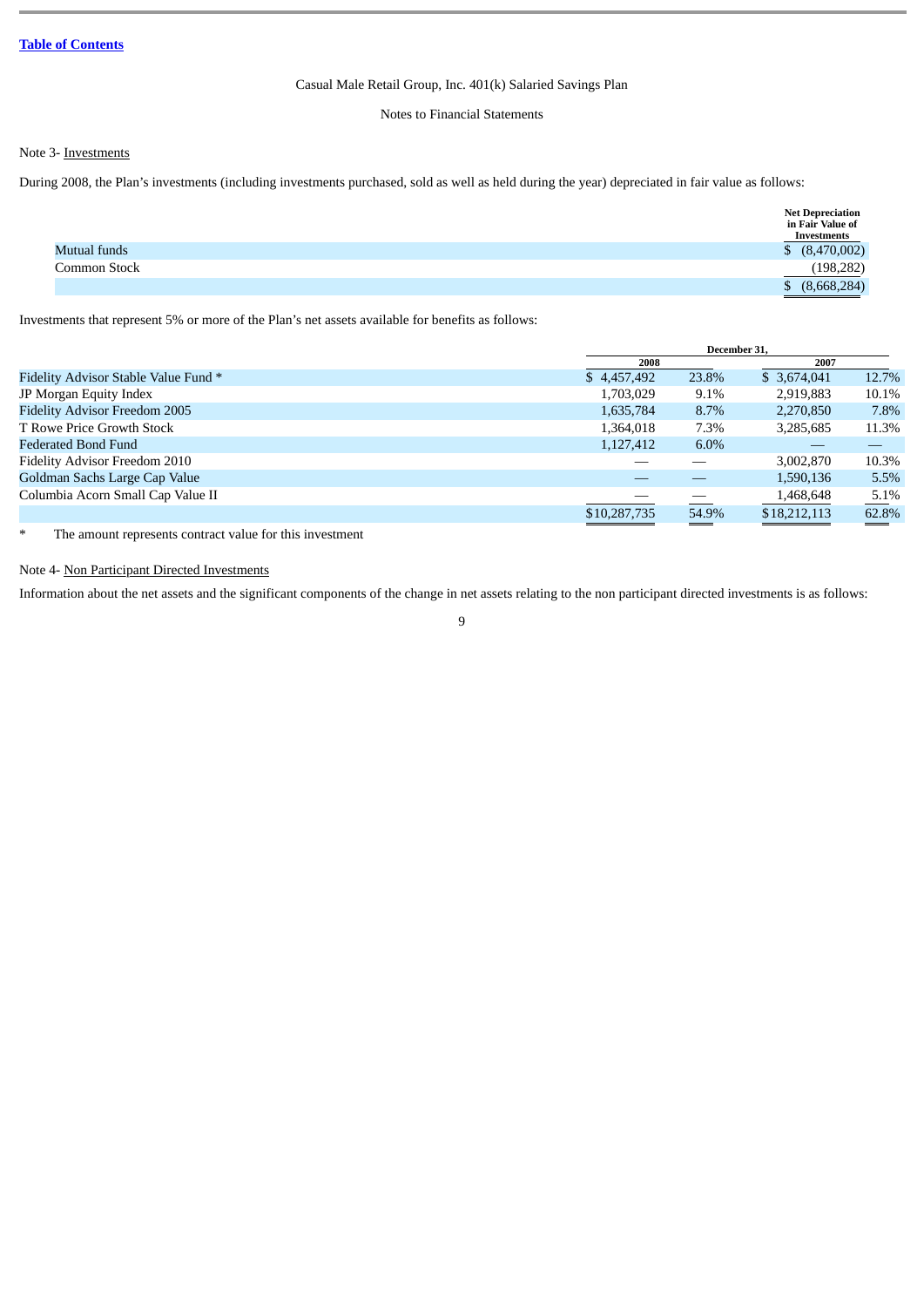## Notes to Financial Statements

## Note 3- Investments

During 2008, the Plan's investments (including investments purchased, sold as well as held during the year) depreciated in fair value as follows:

|              | <b>Net Depreciation</b><br>in Fair Value of<br>Investments |
|--------------|------------------------------------------------------------|
| Mutual funds | \$ (8,470,002)                                             |
| Common Stock | (198, 282)                                                 |
|              | (8,668,284)                                                |
|              |                                                            |

Investments that represent 5% or more of the Plan's net assets available for benefits as follows:

|                                      |              | December 31. |              |       |
|--------------------------------------|--------------|--------------|--------------|-------|
|                                      | 2008         |              | 2007         |       |
| Fidelity Advisor Stable Value Fund * | \$4,457,492  | 23.8%        | \$ 3,674,041 | 12.7% |
| JP Morgan Equity Index               | 1,703,029    | 9.1%         | 2,919,883    | 10.1% |
| <b>Fidelity Advisor Freedom 2005</b> | 1,635,784    | 8.7%         | 2,270,850    | 7.8%  |
| T Rowe Price Growth Stock            | 1,364,018    | 7.3%         | 3,285,685    | 11.3% |
| <b>Federated Bond Fund</b>           | 1,127,412    | 6.0%         |              |       |
| Fidelity Advisor Freedom 2010        |              |              | 3,002,870    | 10.3% |
| Goldman Sachs Large Cap Value        |              |              | 1,590,136    | 5.5%  |
| Columbia Acorn Small Cap Value II    |              |              | 1,468,648    | 5.1%  |
|                                      | \$10,287,735 | 54.9%        | \$18,212,113 | 62.8% |
|                                      |              |              |              |       |

\* The amount represents contract value for this investment

## Note 4- Non Participant Directed Investments

Information about the net assets and the significant components of the change in net assets relating to the non participant directed investments is as follows: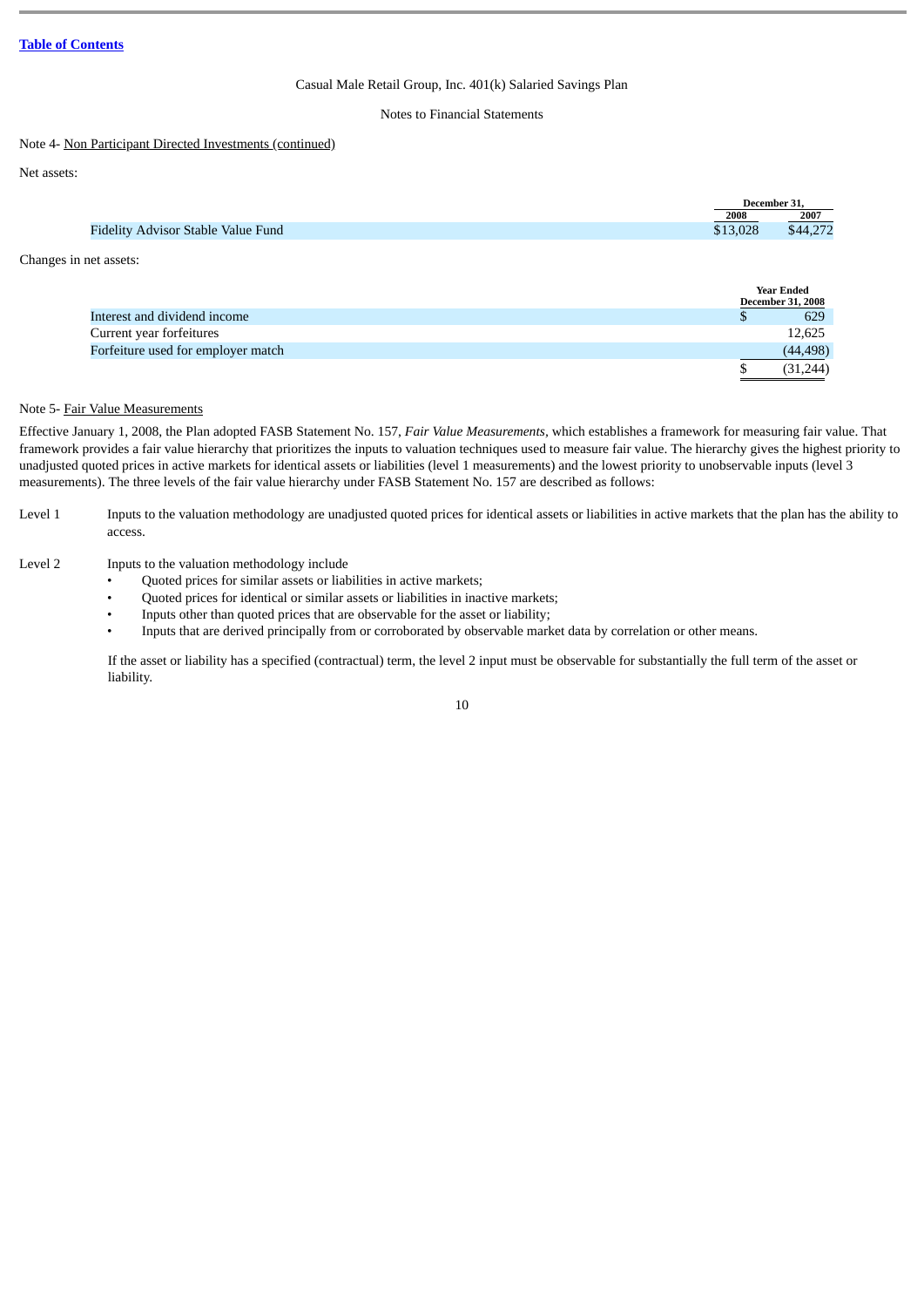## Notes to Financial Statements

#### Note 4- Non Participant Directed Investments (continued)

Net assets:

|                                           |        | December 31, |
|-------------------------------------------|--------|--------------|
|                                           | 2008   | 2007         |
| <b>Fidelity Advisor Stable Value Fund</b> | 13.028 | \$44,272     |
|                                           |        |              |

Changes in net assets:

|                                    | <b>Year Ended</b>        |
|------------------------------------|--------------------------|
|                                    | <b>December 31, 2008</b> |
| Interest and dividend income       | 629                      |
| Current year forfeitures           | 12,625                   |
| Forfeiture used for employer match | (44, 498)                |
|                                    | (31, 244)                |

## Note 5- Fair Value Measurements

Effective January 1, 2008, the Plan adopted FASB Statement No. 157, *Fair Value Measurements,* which establishes a framework for measuring fair value. That framework provides a fair value hierarchy that prioritizes the inputs to valuation techniques used to measure fair value. The hierarchy gives the highest priority to unadjusted quoted prices in active markets for identical assets or liabilities (level 1 measurements) and the lowest priority to unobservable inputs (level 3 measurements). The three levels of the fair value hierarchy under FASB Statement No. 157 are described as follows:

Level 1 Inputs to the valuation methodology are unadjusted quoted prices for identical assets or liabilities in active markets that the plan has the ability to access.

## Level 2 Inputs to the valuation methodology include

- Quoted prices for similar assets or liabilities in active markets;
- Quoted prices for identical or similar assets or liabilities in inactive markets;
- Inputs other than quoted prices that are observable for the asset or liability;
- Inputs that are derived principally from or corroborated by observable market data by correlation or other means.

If the asset or liability has a specified (contractual) term, the level 2 input must be observable for substantially the full term of the asset or liability.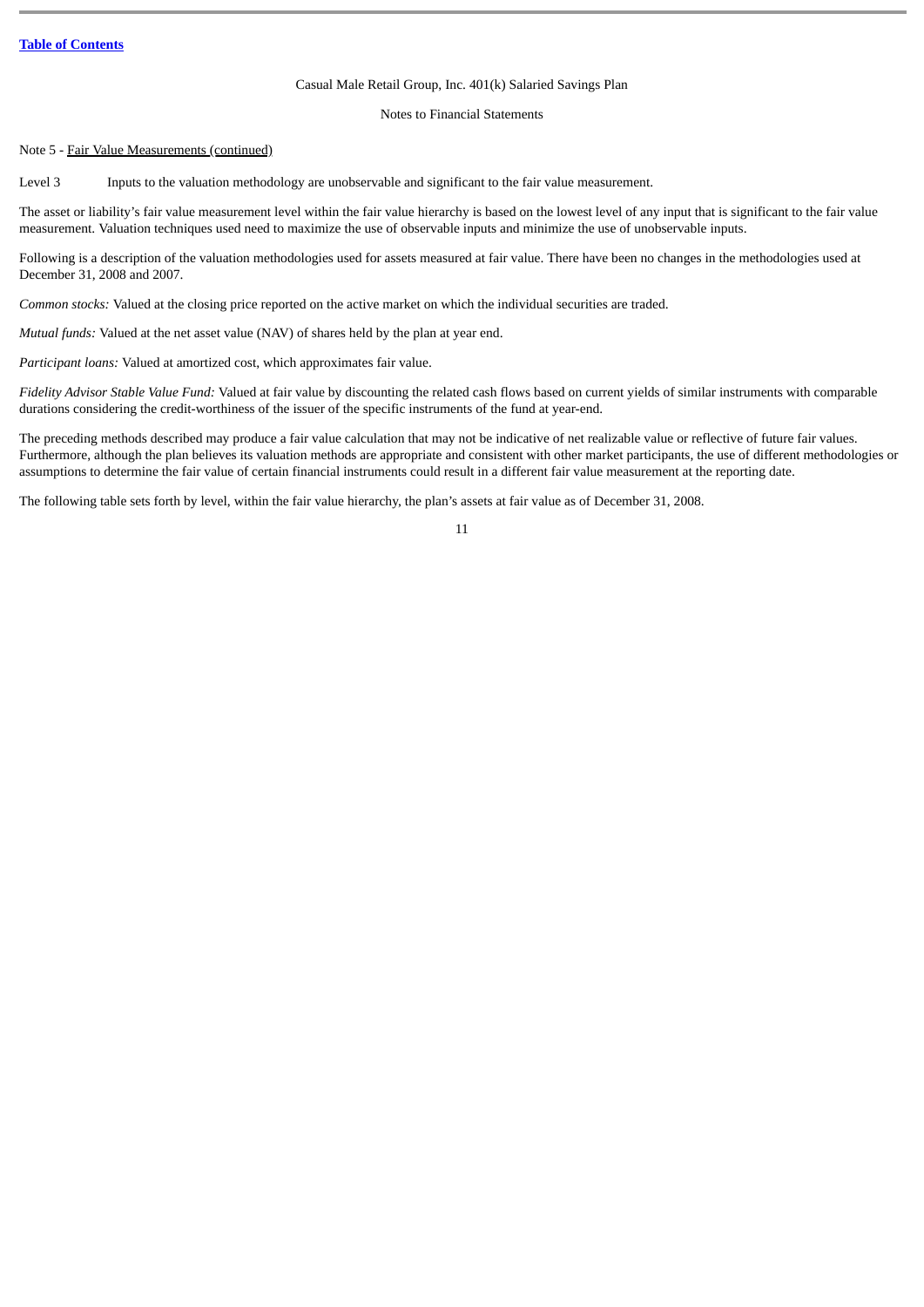Notes to Financial Statements

#### Note 5 - Fair Value Measurements (continued)

Level 3 Inputs to the valuation methodology are unobservable and significant to the fair value measurement.

The asset or liability's fair value measurement level within the fair value hierarchy is based on the lowest level of any input that is significant to the fair value measurement. Valuation techniques used need to maximize the use of observable inputs and minimize the use of unobservable inputs.

Following is a description of the valuation methodologies used for assets measured at fair value. There have been no changes in the methodologies used at December 31, 2008 and 2007.

*Common stocks:* Valued at the closing price reported on the active market on which the individual securities are traded.

*Mutual funds:* Valued at the net asset value (NAV) of shares held by the plan at year end.

*Participant loans:* Valued at amortized cost, which approximates fair value.

*Fidelity Advisor Stable Value Fund:* Valued at fair value by discounting the related cash flows based on current yields of similar instruments with comparable durations considering the credit-worthiness of the issuer of the specific instruments of the fund at year-end.

The preceding methods described may produce a fair value calculation that may not be indicative of net realizable value or reflective of future fair values. Furthermore, although the plan believes its valuation methods are appropriate and consistent with other market participants, the use of different methodologies or assumptions to determine the fair value of certain financial instruments could result in a different fair value measurement at the reporting date.

11

The following table sets forth by level, within the fair value hierarchy, the plan's assets at fair value as of December 31, 2008.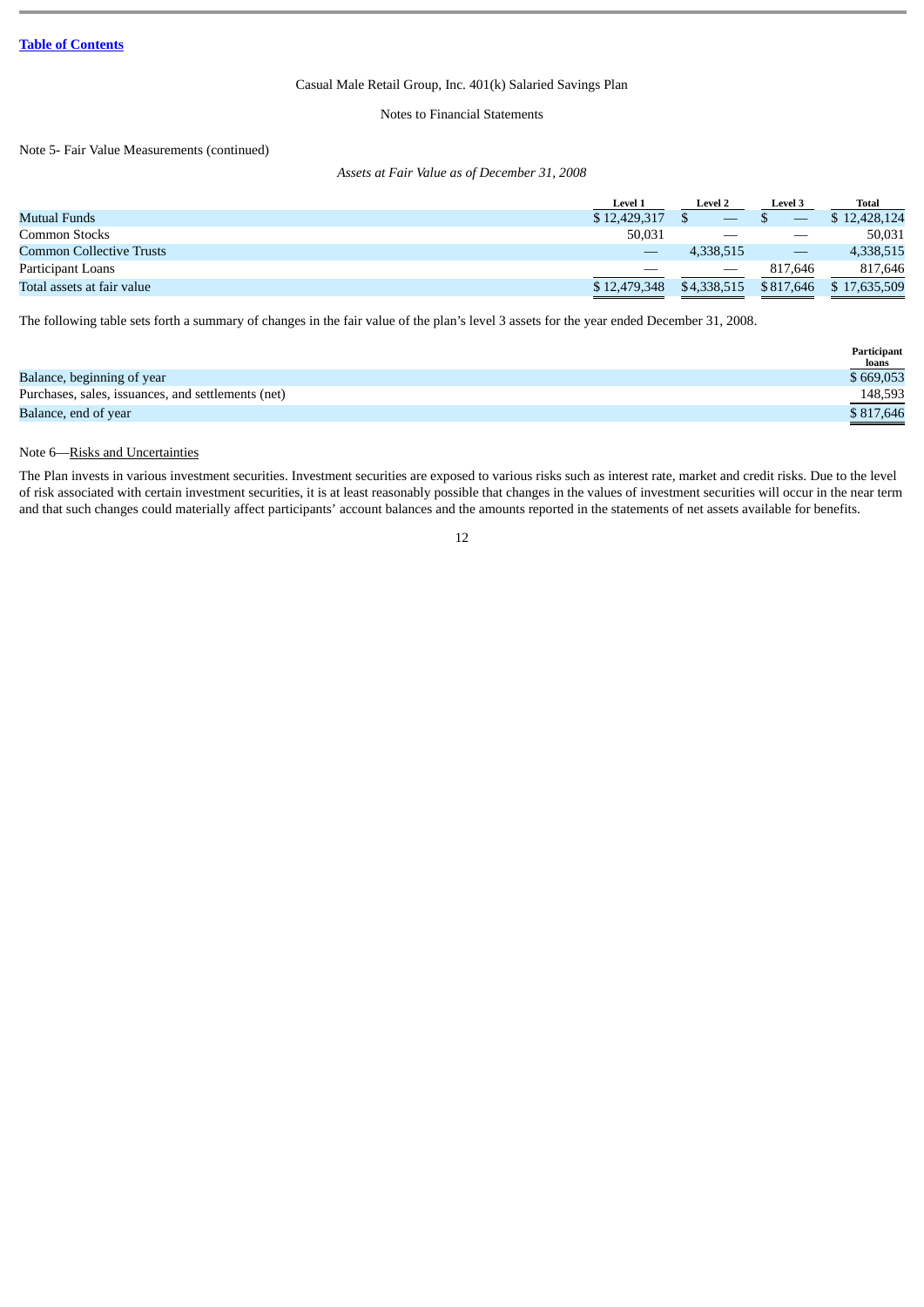Notes to Financial Statements

## Note 5- Fair Value Measurements (continued)

#### *Assets at Fair Value as of December 31, 2008*

|                                 | Level 1      | <b>Level 2</b> | <b>Level 3</b>                  | <b>Total</b> |
|---------------------------------|--------------|----------------|---------------------------------|--------------|
| Mutual Funds                    | \$12,429,317 |                |                                 | 12.428.124   |
| Common Stocks                   | 50,031       |                | $\hspace{0.05cm}$               | 50,031       |
| <b>Common Collective Trusts</b> |              | 4,338,515      | $\hspace{0.1mm}-\hspace{0.1mm}$ | 4,338,515    |
| Participant Loans               |              |                | 817.646                         | 817,646      |
| Total assets at fair value      | \$12,479,348 | \$4,338,515    | \$817,646                       | \$17,635,509 |

The following table sets forth a summary of changes in the fair value of the plan's level 3 assets for the year ended December 31, 2008.

|                                                    | Participant<br><b>loans</b>                    |
|----------------------------------------------------|------------------------------------------------|
| Balance, beginning of year                         | \$669,053                                      |
| Purchases, sales, issuances, and settlements (net) | 148,593                                        |
| Balance, end of year                               | \$817,646<br>and the control of the control of |

## Note 6—Risks and Uncertainties

The Plan invests in various investment securities. Investment securities are exposed to various risks such as interest rate, market and credit risks. Due to the level of risk associated with certain investment securities, it is at least reasonably possible that changes in the values of investment securities will occur in the near term and that such changes could materially affect participants' account balances and the amounts reported in the statements of net assets available for benefits.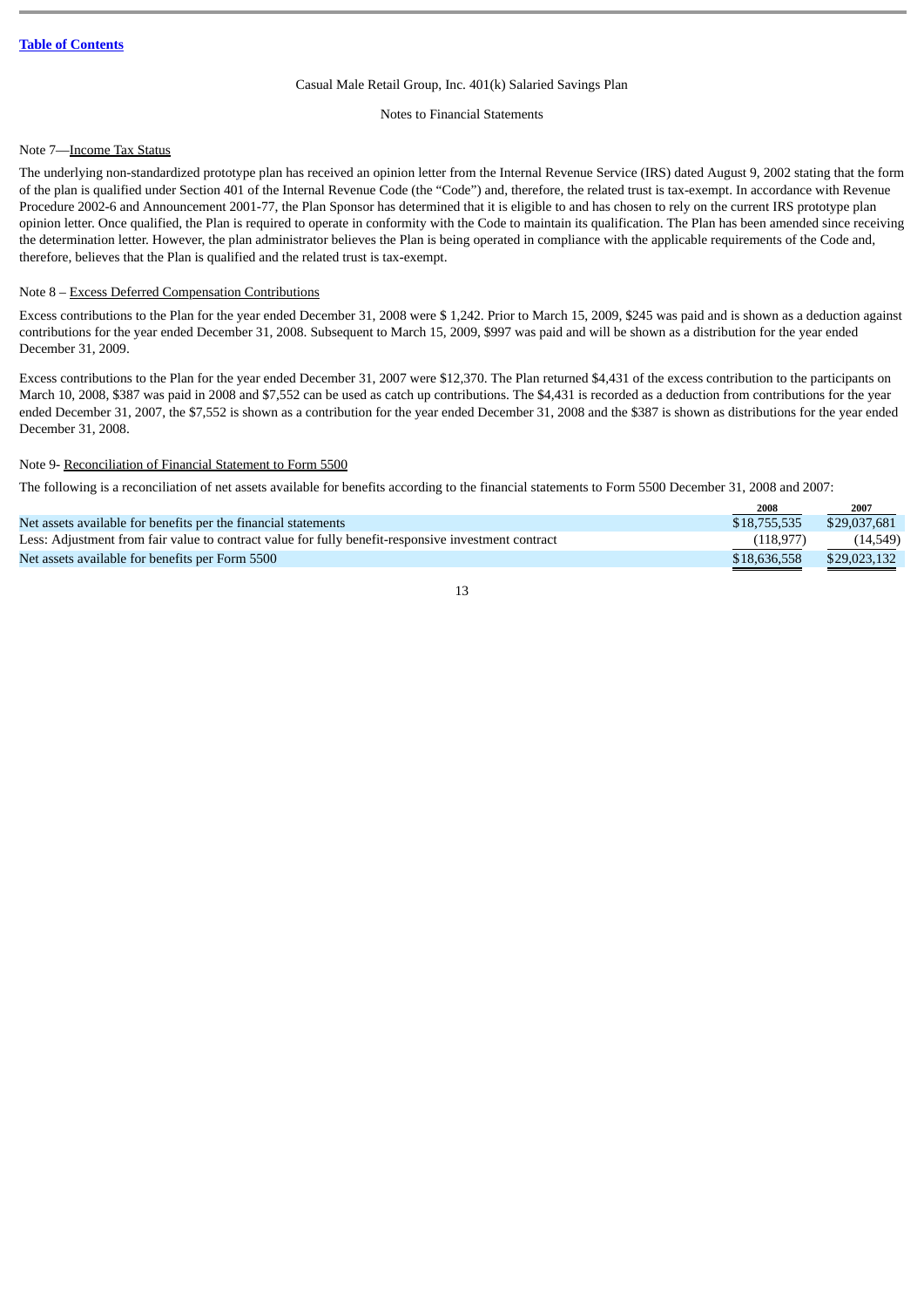#### Notes to Financial Statements

### Note 7—Income Tax Status

The underlying non-standardized prototype plan has received an opinion letter from the Internal Revenue Service (IRS) dated August 9, 2002 stating that the form of the plan is qualified under Section 401 of the Internal Revenue Code (the "Code") and, therefore, the related trust is tax-exempt. In accordance with Revenue Procedure 2002-6 and Announcement 2001-77, the Plan Sponsor has determined that it is eligible to and has chosen to rely on the current IRS prototype plan opinion letter. Once qualified, the Plan is required to operate in conformity with the Code to maintain its qualification. The Plan has been amended since receiving the determination letter. However, the plan administrator believes the Plan is being operated in compliance with the applicable requirements of the Code and, therefore, believes that the Plan is qualified and the related trust is tax-exempt.

## Note 8 – Excess Deferred Compensation Contributions

Excess contributions to the Plan for the year ended December 31, 2008 were \$ 1,242. Prior to March 15, 2009, \$245 was paid and is shown as a deduction against contributions for the year ended December 31, 2008. Subsequent to March 15, 2009, \$997 was paid and will be shown as a distribution for the year ended December 31, 2009.

Excess contributions to the Plan for the year ended December 31, 2007 were \$12,370. The Plan returned \$4,431 of the excess contribution to the participants on March 10, 2008, \$387 was paid in 2008 and \$7,552 can be used as catch up contributions. The \$4,431 is recorded as a deduction from contributions for the year ended December 31, 2007, the \$7,552 is shown as a contribution for the year ended December 31, 2008 and the \$387 is shown as distributions for the year ended December 31, 2008.

## Note 9- Reconciliation of Financial Statement to Form 5500

The following is a reconciliation of net assets available for benefits according to the financial statements to Form 5500 December 31, 2008 and 2007:

|                                                                                                     | 2008         | 2007         |
|-----------------------------------------------------------------------------------------------------|--------------|--------------|
| Net assets available for benefits per the financial statements                                      | \$18,755,535 | \$29,037,681 |
| Less: Adjustment from fair value to contract value for fully benefit-responsive investment contract | (118, 977)   | (14,549)     |
| Net assets available for benefits per Form 5500                                                     | \$18,636,558 | \$29,023,132 |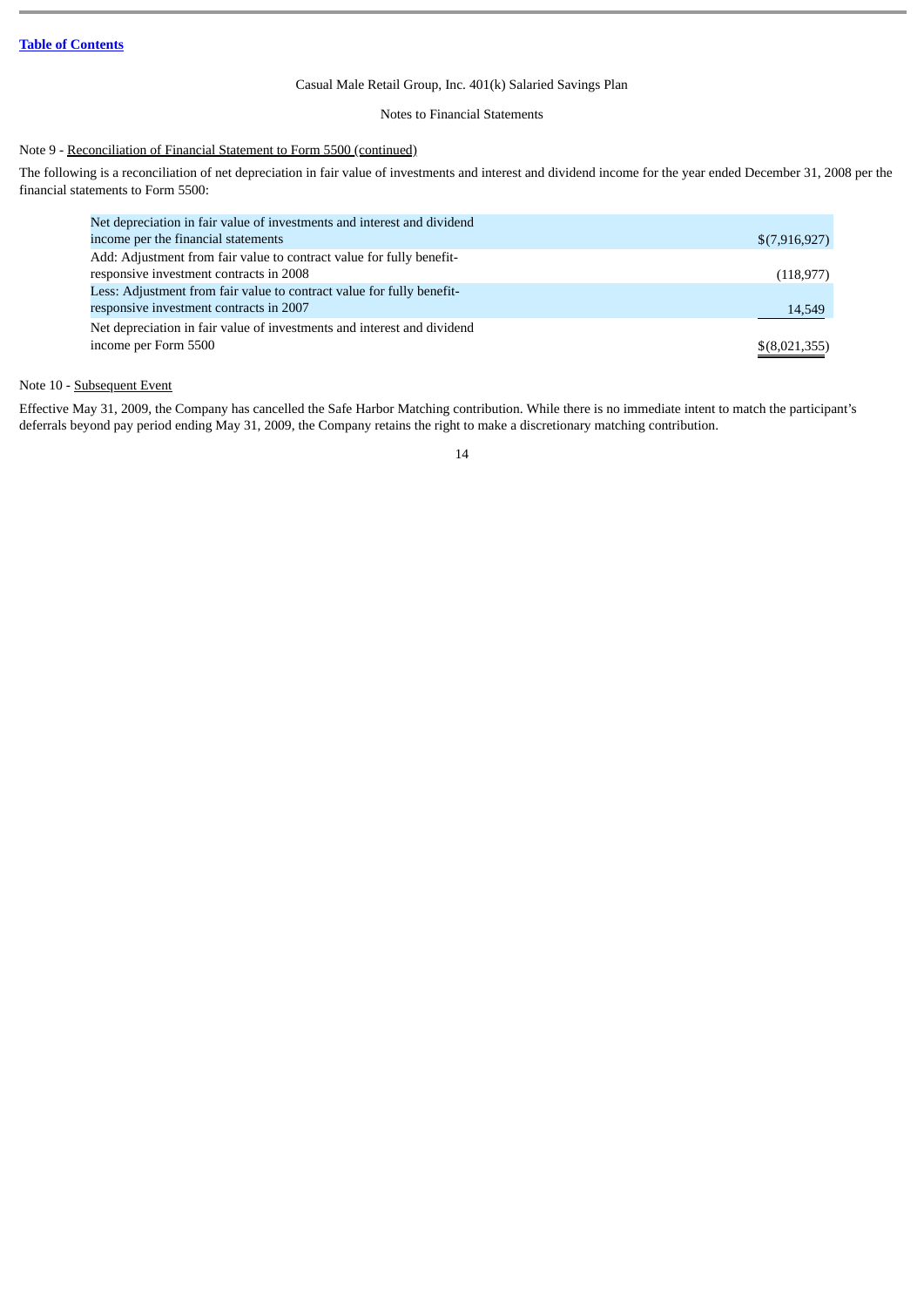## Notes to Financial Statements

## Note 9 - Reconciliation of Financial Statement to Form 5500 (continued)

The following is a reconciliation of net depreciation in fair value of investments and interest and dividend income for the year ended December 31, 2008 per the financial statements to Form 5500:

| Net depreciation in fair value of investments and interest and dividend |               |
|-------------------------------------------------------------------------|---------------|
| income per the financial statements                                     | \$(7,916,927) |
| Add: Adjustment from fair value to contract value for fully benefit-    |               |
| responsive investment contracts in 2008                                 | (118, 977)    |
| Less: Adjustment from fair value to contract value for fully benefit-   |               |
| responsive investment contracts in 2007                                 | 14,549        |
| Net depreciation in fair value of investments and interest and dividend |               |
| income per Form 5500                                                    | \$(8,021,355) |
|                                                                         |               |

## Note 10 - Subsequent Event

Effective May 31, 2009, the Company has cancelled the Safe Harbor Matching contribution. While there is no immediate intent to match the participant's deferrals beyond pay period ending May 31, 2009, the Company retains the right to make a discretionary matching contribution.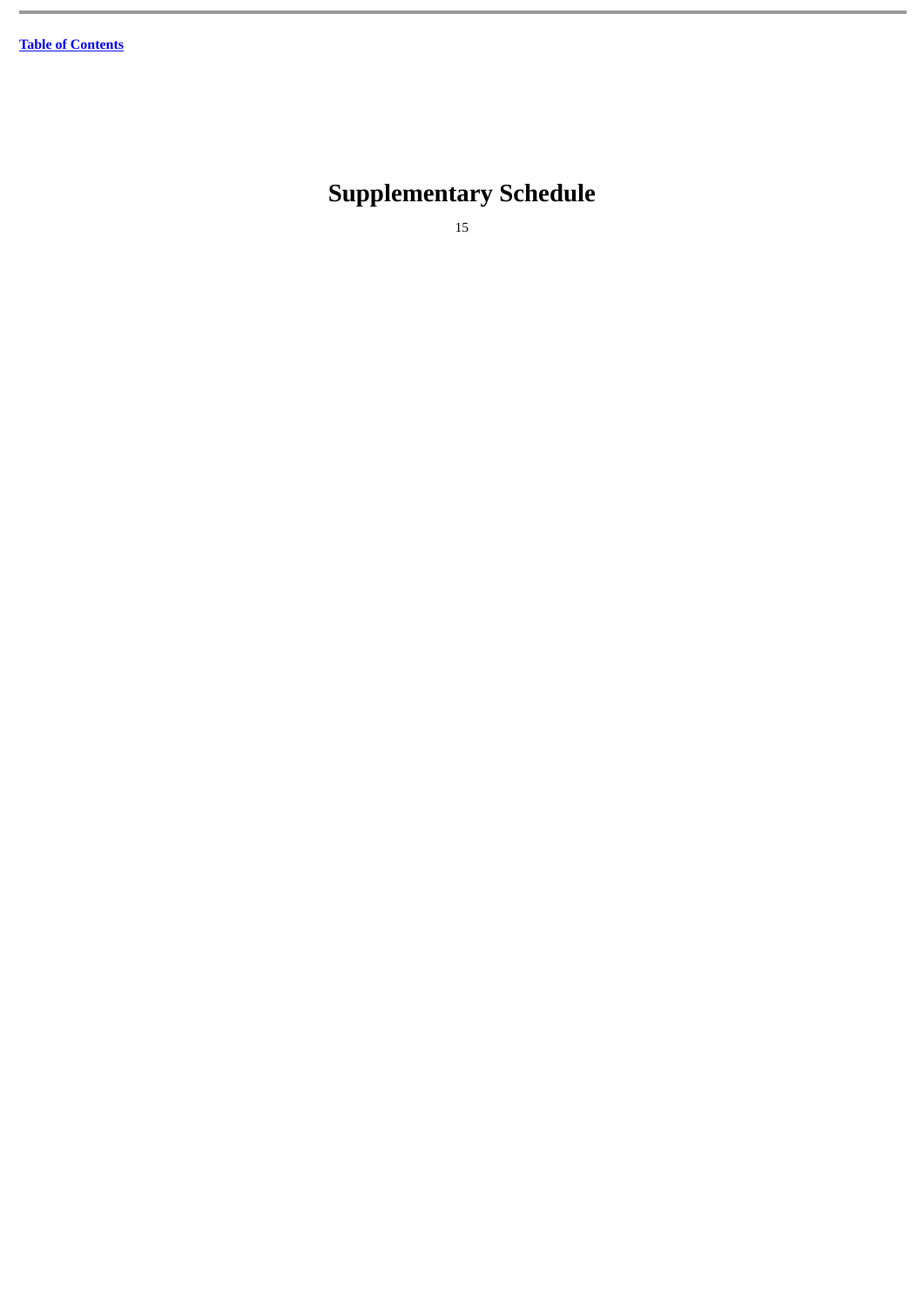# <span id="page-16-0"></span>**Supplementary Schedule**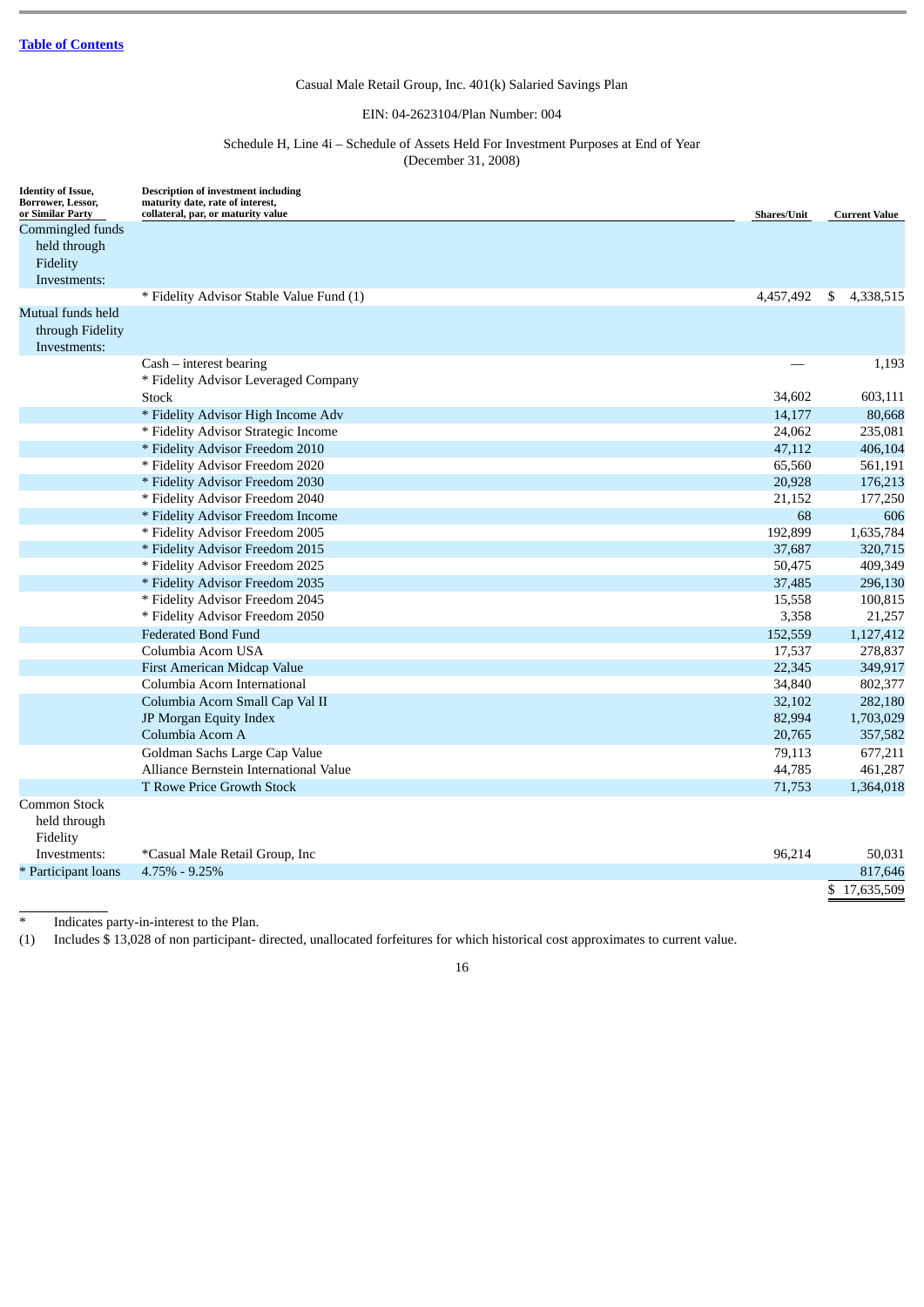## EIN: 04-2623104/Plan Number: 004

## Schedule H, Line 4i – Schedule of Assets Held For Investment Purposes at End of Year (December 31, 2008)

<span id="page-17-0"></span>

| <b>Identity of Issue,</b><br>Borrower, Lessor,<br>or Similar Party | <b>Description of investment including</b><br>maturity date, rate of interest,<br>collateral, par, or maturity value | <b>Shares/Unit</b> | <b>Current Value</b> |
|--------------------------------------------------------------------|----------------------------------------------------------------------------------------------------------------------|--------------------|----------------------|
| Commingled funds                                                   |                                                                                                                      |                    |                      |
| held through                                                       |                                                                                                                      |                    |                      |
| Fidelity                                                           |                                                                                                                      |                    |                      |
| Investments:                                                       |                                                                                                                      |                    |                      |
|                                                                    | * Fidelity Advisor Stable Value Fund (1)                                                                             | 4,457,492          | \$<br>4,338,515      |
| Mutual funds held                                                  |                                                                                                                      |                    |                      |
| through Fidelity                                                   |                                                                                                                      |                    |                      |
| Investments:                                                       |                                                                                                                      |                    |                      |
|                                                                    | $Cash - interest bearing$                                                                                            |                    | 1,193                |
|                                                                    | * Fidelity Advisor Leveraged Company                                                                                 |                    |                      |
|                                                                    | Stock                                                                                                                | 34,602             | 603,111              |
|                                                                    | * Fidelity Advisor High Income Adv                                                                                   | 14,177             | 80,668               |
|                                                                    | * Fidelity Advisor Strategic Income                                                                                  | 24,062             | 235,081              |
|                                                                    | * Fidelity Advisor Freedom 2010                                                                                      | 47,112             | 406,104              |
|                                                                    | * Fidelity Advisor Freedom 2020                                                                                      | 65,560             | 561,191              |
|                                                                    | * Fidelity Advisor Freedom 2030                                                                                      | 20,928             | 176,213              |
|                                                                    | * Fidelity Advisor Freedom 2040                                                                                      | 21,152             | 177,250              |
|                                                                    | * Fidelity Advisor Freedom Income                                                                                    | 68                 | 606                  |
|                                                                    | * Fidelity Advisor Freedom 2005                                                                                      | 192,899            | 1,635,784            |
|                                                                    | * Fidelity Advisor Freedom 2015                                                                                      | 37,687             | 320,715              |
|                                                                    | * Fidelity Advisor Freedom 2025                                                                                      | 50,475             | 409,349              |
|                                                                    | * Fidelity Advisor Freedom 2035                                                                                      | 37,485             | 296,130              |
|                                                                    | * Fidelity Advisor Freedom 2045                                                                                      | 15,558             | 100,815              |
|                                                                    | * Fidelity Advisor Freedom 2050                                                                                      | 3,358              | 21,257               |
|                                                                    | <b>Federated Bond Fund</b>                                                                                           | 152,559            | 1,127,412            |
|                                                                    | Columbia Acorn USA                                                                                                   | 17,537             | 278,837              |
|                                                                    | First American Midcap Value                                                                                          | 22,345             | 349,917              |
|                                                                    | Columbia Acorn International                                                                                         | 34,840             | 802,377              |
|                                                                    | Columbia Acorn Small Cap Val II                                                                                      | 32,102             | 282,180              |
|                                                                    | JP Morgan Equity Index                                                                                               | 82,994             | 1,703,029            |
|                                                                    | Columbia Acorn A                                                                                                     | 20,765             | 357,582              |
|                                                                    | Goldman Sachs Large Cap Value                                                                                        | 79,113             | 677,211              |
|                                                                    | Alliance Bernstein International Value                                                                               | 44,785             | 461,287              |
|                                                                    | T Rowe Price Growth Stock                                                                                            | 71,753             | 1,364,018            |
| Common Stock<br>held through<br>Fidelity                           |                                                                                                                      |                    |                      |
| Investments:                                                       | *Casual Male Retail Group, Inc                                                                                       | 96,214             | 50,031               |
| * Participant loans                                                | $4.75\% - 9.25\%$                                                                                                    |                    | 817.646              |

\* Indicates party-in-interest to the Plan.

(1) Includes \$ 13,028 of non participant- directed, unallocated forfeitures for which historical cost approximates to current value.

16

\$ 17,635,509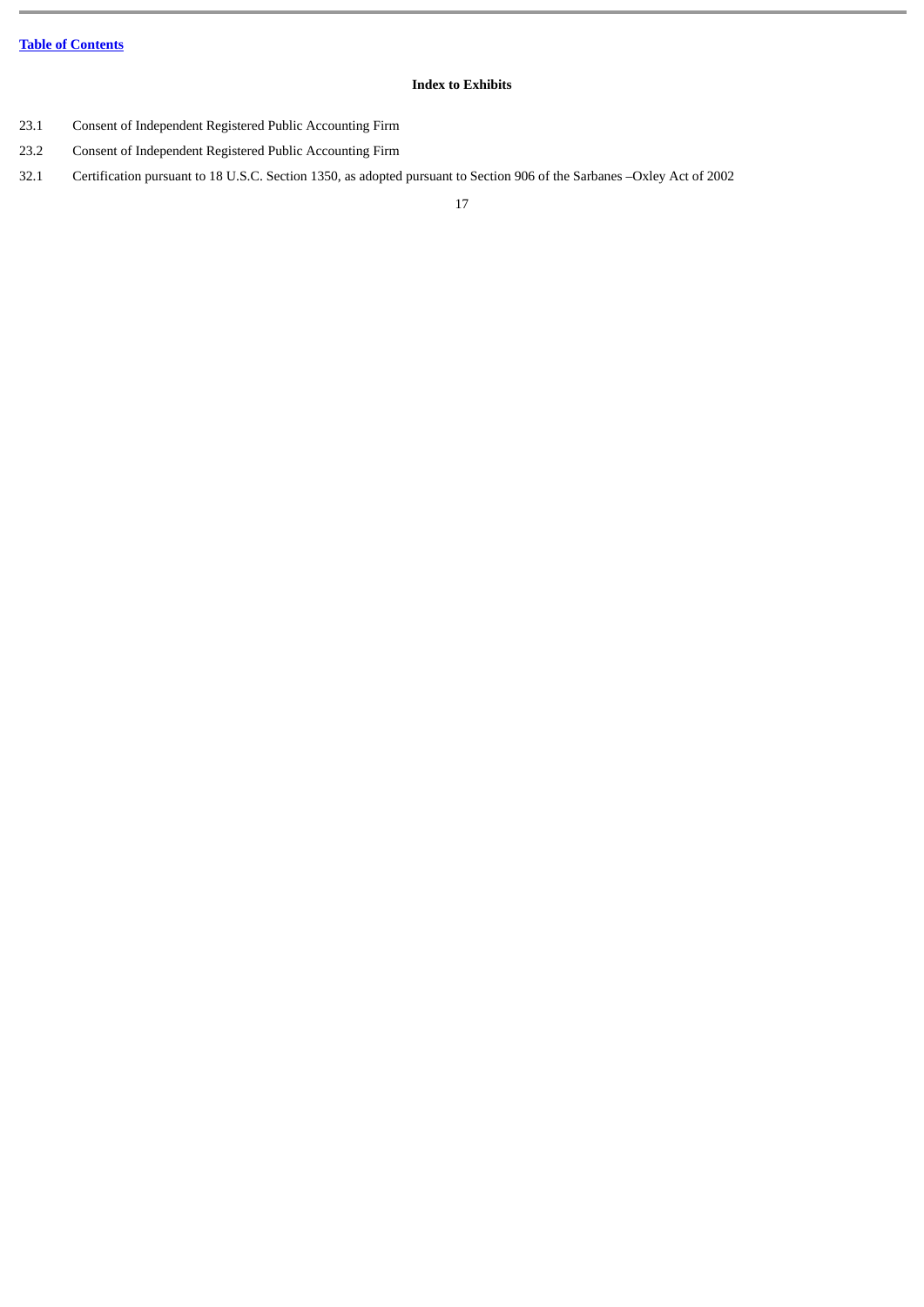## **Index to Exhibits**

- 23.1 Consent of Independent Registered Public Accounting Firm
- 23.2 Consent of Independent Registered Public Accounting Firm
- 32.1 Certification pursuant to 18 U.S.C. Section 1350, as adopted pursuant to Section 906 of the Sarbanes –Oxley Act of 2002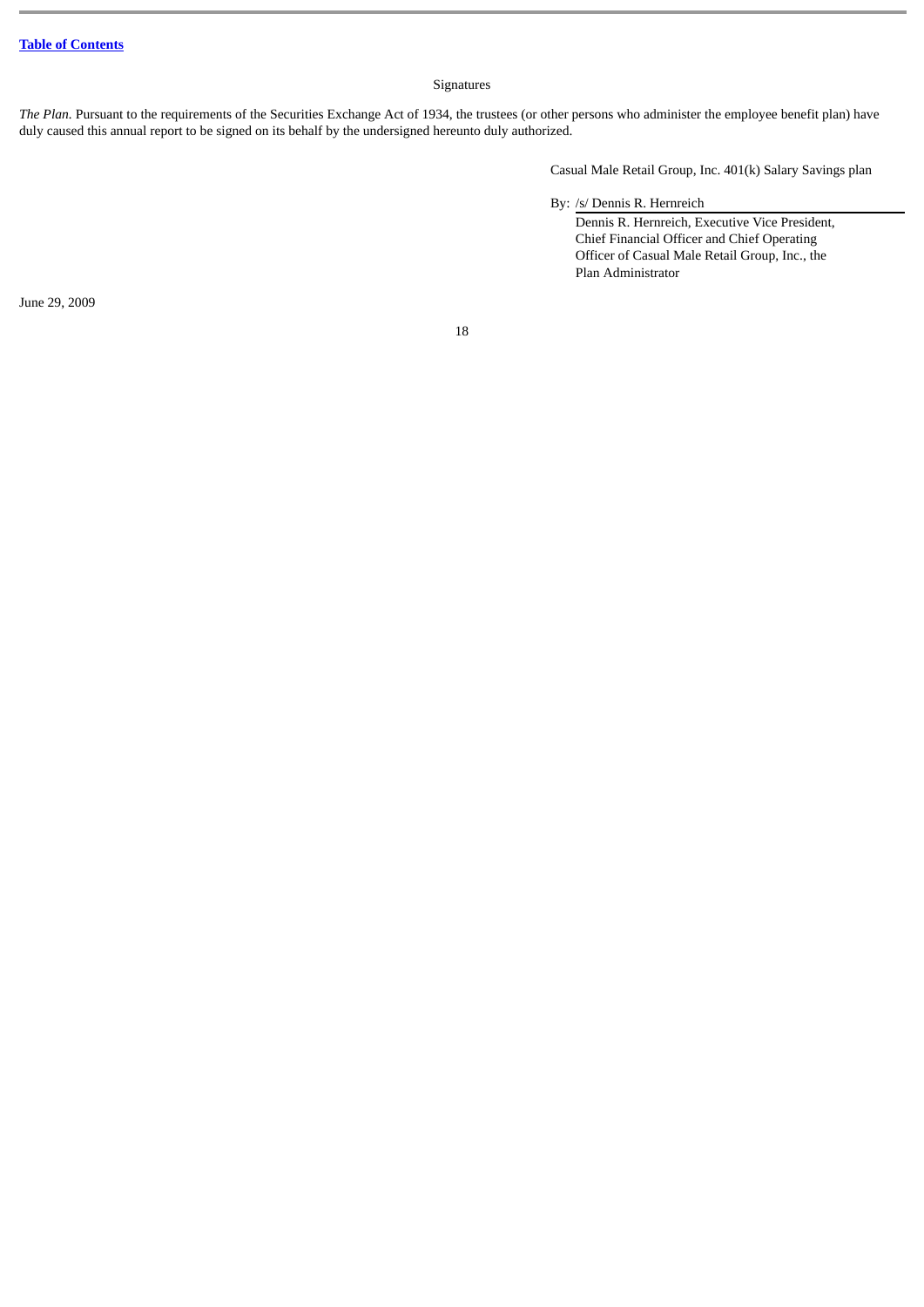## Signatures

*The Plan.* Pursuant to the requirements of the Securities Exchange Act of 1934, the trustees (or other persons who administer the employee benefit plan) have duly caused this annual report to be signed on its behalf by the undersigned hereunto duly authorized.

Casual Male Retail Group, Inc. 401(k) Salary Savings plan

By: /s/ Dennis R. Hernreich

Dennis R. Hernreich, Executive Vice President, Chief Financial Officer and Chief Operating Officer of Casual Male Retail Group, Inc., the Plan Administrator

June 29, 2009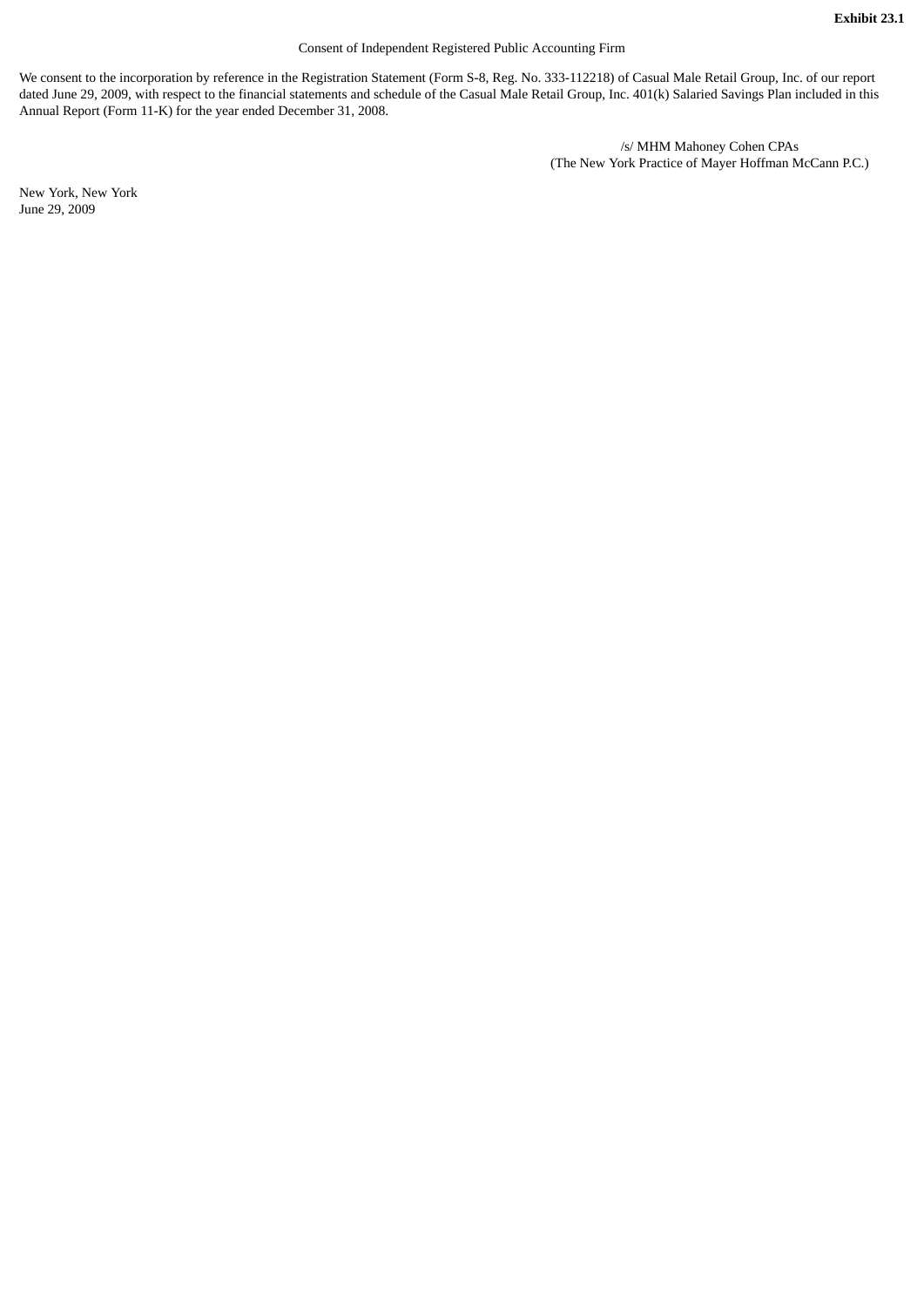## Consent of Independent Registered Public Accounting Firm

We consent to the incorporation by reference in the Registration Statement (Form S-8, Reg. No. 333-112218) of Casual Male Retail Group, Inc. of our report dated June 29, 2009, with respect to the financial statements and schedule of the Casual Male Retail Group, Inc. 401(k) Salaried Savings Plan included in this Annual Report (Form 11-K) for the year ended December 31, 2008.

> /s/ MHM Mahoney Cohen CPAs (The New York Practice of Mayer Hoffman McCann P.C.)

New York, New York June 29, 2009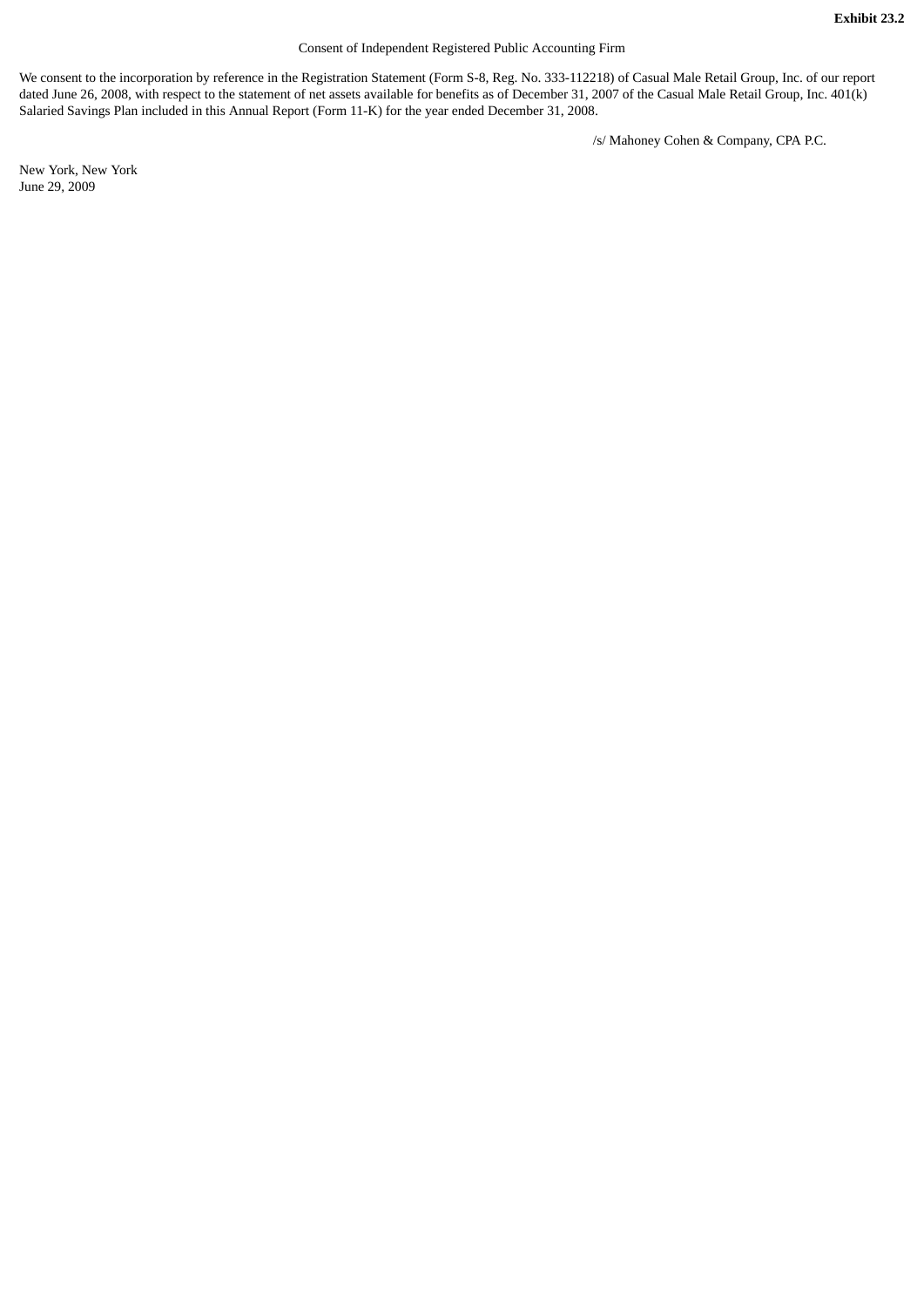## Consent of Independent Registered Public Accounting Firm

We consent to the incorporation by reference in the Registration Statement (Form S-8, Reg. No. 333-112218) of Casual Male Retail Group, Inc. of our report dated June 26, 2008, with respect to the statement of net assets available for benefits as of December 31, 2007 of the Casual Male Retail Group, Inc. 401(k) Salaried Savings Plan included in this Annual Report (Form 11-K) for the year ended December 31, 2008.

/s/ Mahoney Cohen & Company, CPA P.C.

New York, New York June 29, 2009